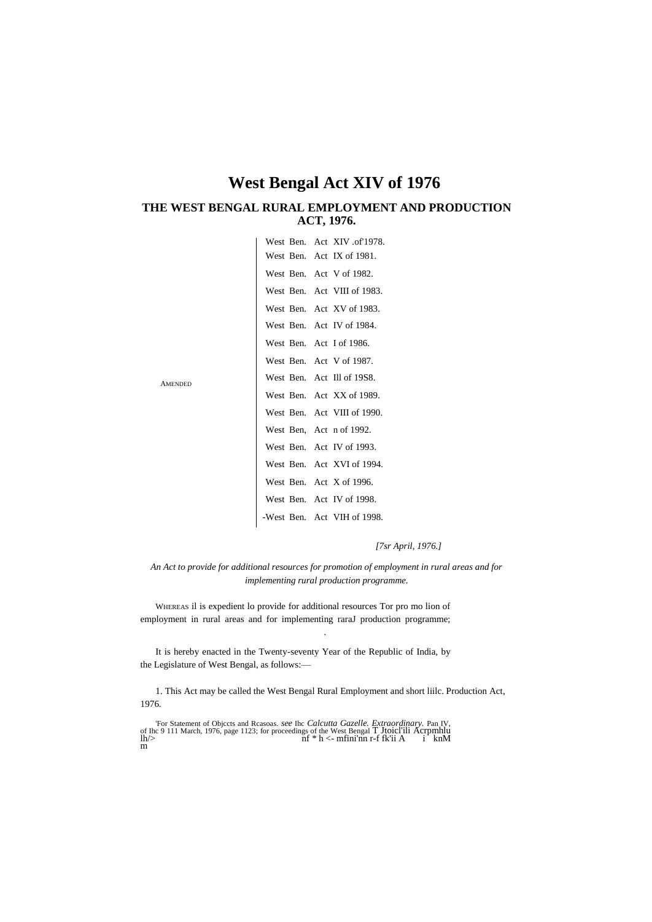# **West Bengal Act XIV of 1976**

# **THE WEST BENGAL RURAL EMPLOYMENT AND PRODUCTION ACT, 1976.**

|                            | West Ben. Act XIV of 1978.  |
|----------------------------|-----------------------------|
|                            | West Ben. Act IX of 1981.   |
| West Ben. Act V of 1982.   |                             |
|                            | West Ben. Act VIII of 1983. |
|                            | West Ben. Act XV of 1983.   |
|                            | West Ben. Act IV of 1984.   |
| West Ben. Act I of 1986.   |                             |
| West Ben. Act V of 1987.   |                             |
| West Ben. Act Ill of 19S8. |                             |
|                            | West Ben. Act XX of 1989.   |
|                            | West Ben. Act VIII of 1990. |
| West Ben, Act n of 1992.   |                             |
|                            | West Ben. Act IV of 1993.   |
|                            | West Ben. Act XVI of 1994.  |
| West Ben. Act X of 1996.   |                             |
|                            | West Ben. Act IV of 1998.   |
|                            | -West Ben. Act VIH of 1998. |

AMENDED

*[7sr April, 1976.]*

*An Act to provide for additional resources for promotion of employment in rural areas and for implementing rural production programme.*

.

WHEREAS il is expedient lo provide for additional resources Tor pro mo lion of employment in rural areas and for implementing raraJ production programme;

It is hereby enacted in the Twenty-seventy Year of the Republic of India, by the Legislature of West Bengal, as follows:—

1. This Act may be called the West Bengal Rural Employment and short liilc. Production Act, 1976.

For Statement of Objects and Reasoas. see Ihc Calcutta Gazelle. Extraordinary. Pan IV, of Ihc 9 111 March, 1976, page 1123; for proceedings of the West Bengal T Jtoicl'ili Acrpmhlu  $lh$  >  $\frac{lh}{>}$ m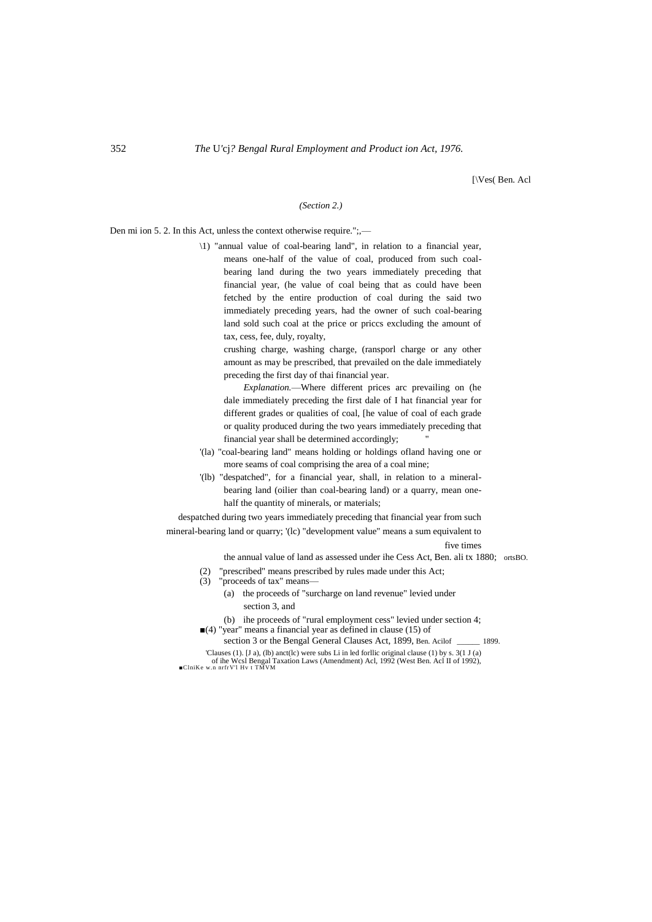[\Ves( Ben. Acl

## *(Section 2.)*

Den mi ion 5. 2. In this Act, unless the context otherwise require.";,—

\1) "annual value of coal-bearing land", in relation to a financial year, means one-half of the value of coal, produced from such coalbearing land during the two years immediately preceding that financial year, (he value of coal being that as could have been fetched by the entire production of coal during the said two immediately preceding years, had the owner of such coal-bearing land sold such coal at the price or priccs excluding the amount of tax, cess, fee, duly, royalty,

crushing charge, washing charge, (ransporl charge or any other amount as may be prescribed, that prevailed on the dale immediately preceding the first day of thai financial year.

*Explanation.*—Where different prices arc prevailing on (he dale immediately preceding the first dale of I hat financial year for different grades or qualities of coal, [he value of coal of each grade or quality produced during the two years immediately preceding that financial year shall be determined accordingly;

- '(la) "coal-bearing land" means holding or holdings ofland having one or more seams of coal comprising the area of a coal mine;
- '(lb) "despatched", for a financial year, shall, in relation to a mineralbearing land (oilier than coal-bearing land) or a quarry, mean onehalf the quantity of minerals, or materials;

despatched during two years immediately preceding that financial year from such

mineral-bearing land or quarry; '(lc) "development value" means a sum equivalent to

five times

- the annual value of land as assessed under ihe Cess Act, Ben. ali tx 1880; ortsBO.
- (2) "prescribed" means prescribed by rules made under this Act;
- (3) "proceeds of tax" means—
	- (a) the proceeds of "surcharge on land revenue" levied under section 3, and
	- (b) ihe proceeds of "rural employment cess" levied under section 4;
- $(4)$  "year" means a financial year as defined in clause (15) of
- section 3 or the Bengal General Clauses Act, 1899, Ben. Acilof \_\_\_\_\_\_ 1899.

'Clauses (1). [J a), (lb) anct(lc) were subs Li in led forllic original clause (1) by s. 3(1 J (a) of ihe Wcsl Bengal Taxation Laws (Amendment) Acl, 1992 (West Ben. Acl II of 1992), ■ClniKe w.n nrfrV'l Hv t TMVM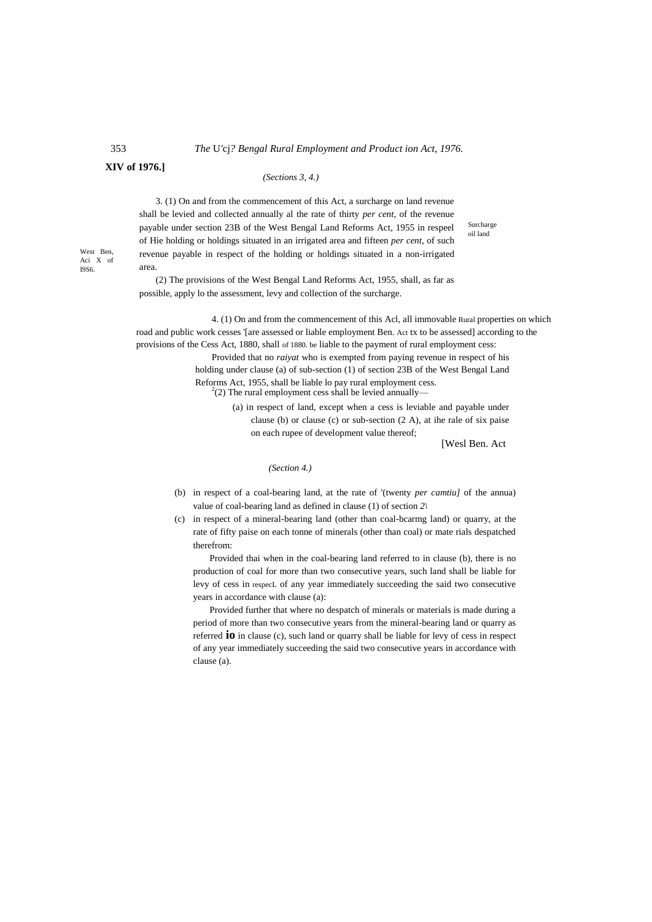### 353 *The* U*'*cj*? Bengal Rural Employment and Product ion Act, 1976.*

## **XIV of 1976.]**

## *(Sections 3, 4.)*

3. (1) On and from the commencement of this Act, a surcharge on land revenue shall be levied and collected annually al the rate of thirty *per cent,* of the revenue payable under section 23B of the West Bengal Land Reforms Act, 1955 in respeel of Hie holding or holdings situated in an irrigated area and fifteen *per cent,* of such revenue payable in respect of the holding or holdings situated in a non-irrigated area.

Surcharge oil land

(2) The provisions of the West Bengal Land Reforms Act, 1955, shall, as far as possible, apply lo the assessment, levy and collection of the surcharge.

4. (1) On and from the commencement of this Acl, all immovable Rural properties on which road and public work cesses '[are assessed or liable employment Ben. Act tx to be assessed] according to the provisions of the Cess Act, 1880, shall of 1880. be liable to the payment of rural employment cess:

> Provided that no *raiyat* who is exempted from paying revenue in respect of his holding under clause (a) of sub-section (1) of section 23B of the West Bengal Land Reforms Act, 1955, shall be liable lo pay rural employment cess.  $^{2}(2)$  The rural employment cess shall be levied annually—

> > (a) in respect of land, except when a cess is leviable and payable under clause (b) or clause (c) or sub-section (2 A), at ihe rale of six paise on each rupee of development value thereof;

[Wesl Ben. Act

*(Section 4.)*

(b) in respect of a coal-bearing land, at the rate of '(twenty *per camtiu]* of the annua) value of coal-bearing land as defined in clause (1) of section *2\*

(c) in respect of a mineral-bearing land (other than coal-bcarmg land) or quarry, at the rate of fifty paise on each tonne of minerals (other than coal) or mate rials despatched therefrom:

Provided thai when in the coal-bearing land referred to in clause (b), there is no production of coal for more than two consecutive years, such land shall be liable for levy of cess in respecL of any year immediately succeeding the said two consecutive years in accordance with clause (a):

Provided further that where no despatch of minerals or materials is made during a period of more than two consecutive years from the mineral-bearing land or quarry as referred **io** in clause (c), such land or quarry shall be liable for levy of cess in respect of any year immediately succeeding the said two consecutive years in accordance with clause (a).

West Ben, Aci X of I9S6.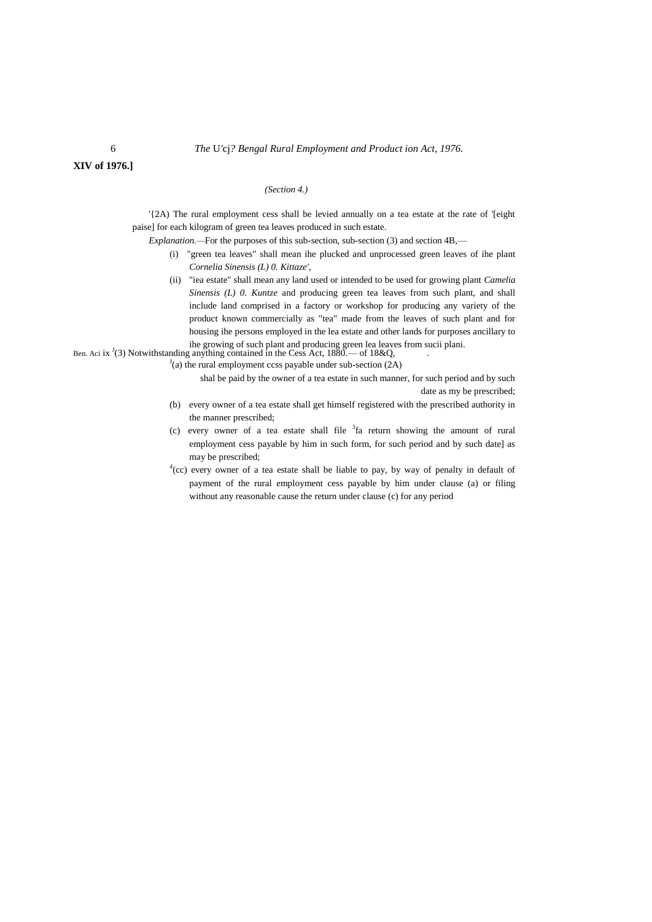**XIV of 1976.]**

## *(Section 4.)*

'{2A) The rural employment cess shall be levied annually on a tea estate at the rate of '[eight paise] for each kilogram of green tea leaves produced in such estate.

*Explanation.—*For the purposes of this sub-section, sub-section (3) and section 4B,—

- (i) "green tea leaves" shall mean ihe plucked and unprocessed green leaves of ihe plant *Cornelia Sinensis (L) 0. Kittaze',*
- (ii) "iea estate" shall mean any land used or intended to be used for growing plant *Camelia Sinensis (L) 0. Kuntze* and producing green tea leaves from such plant, and shall include land comprised in a factory or workshop for producing any variety of the product known commercially as "tea" made from the leaves of such plant and for housing ihe persons employed in the lea estate and other lands for purposes ancillary to ihe growing of such plant and producing green lea leaves from sucii plani.

Ben. Aci ix  $(3)$  Notwithstanding anything contained in the Cess Act,  $1880$ .— of  $18\&\text{Q}$ ,

 $J(a)$  the rural employment ccss payable under sub-section (2A)

shal be paid by the owner of a tea estate in such manner, for such period and by such date as my be prescribed;

- (b) every owner of a tea estate shall get himself registered with the prescribed authority in the manner prescribed;
- (c) every owner of a tea estate shall file  $3f$  return showing the amount of rural employment cess payable by him in such form, for such period and by such date] as may be prescribed;
- $4$ (cc) every owner of a tea estate shall be liable to pay, by way of penalty in default of payment of the rural employment cess payable by him under clause (a) or filing without any reasonable cause the return under clause (c) for any period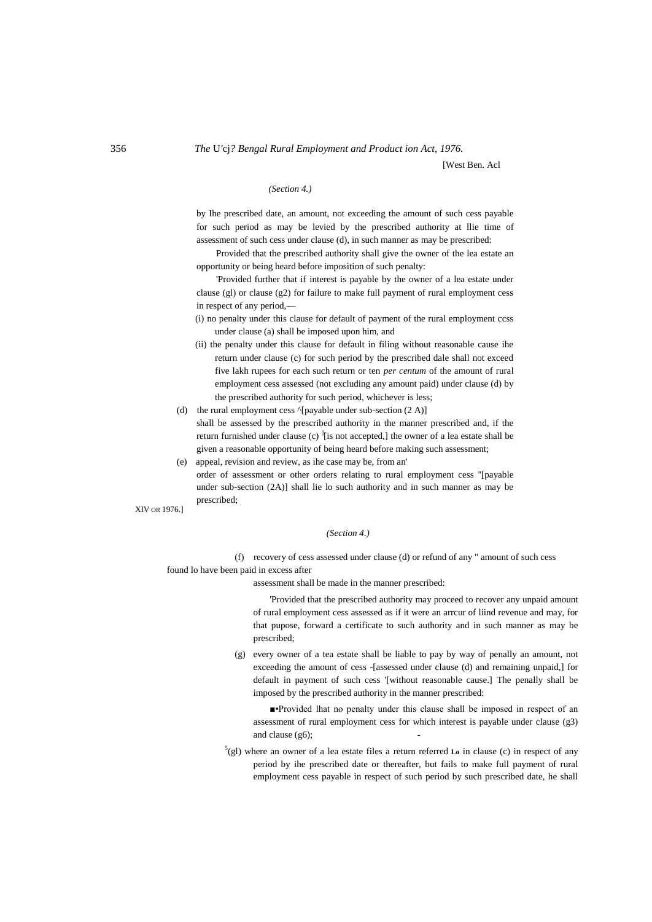[West Ben. Acl

## *(Section 4.)*

by Ihe prescribed date, an amount, not exceeding the amount of such cess payable for such period as may be levied by the prescribed authority at llie time of assessment of such cess under clause (d), in such manner as may be prescribed:

Provided that the prescribed authority shall give the owner of the lea estate an opportunity or being heard before imposition of such penalty:

'Provided further that if interest is payable by the owner of a lea estate under clause (gl) or clause (g2) for failure to make full payment of rural employment cess in respect of any period,—

(i) no penalty under this clause for default of payment of the rural employment ccss under clause (a) shall be imposed upon him, and

- (ii) the penalty under this clause for default in filing without reasonable cause ihe return under clause (c) for such period by the prescribed dale shall not exceed five lakh rupees for each such return or ten *per centum* of the amount of rural employment cess assessed (not excluding any amount paid) under clause (d) by the prescribed authority for such period, whichever is less;
- (d) the rural employment cess  $\gamma$ [payable under sub-section (2 A)] shall be assessed by the prescribed authority in the manner prescribed and, if the return furnished under clause (c)  $\frac{1}{1}$  is not accepted, the owner of a lea estate shall be given a reasonable opportunity of being heard before making such assessment;

(e) appeal, revision and review, as ihe case may be, from an' order of assessment or other orders relating to rural employment cess ''[payable under sub-section (2A)] shall lie lo such authority and in such manner as may be prescribed;

XIV OR 1976.]

#### *(Section 4.)*

(f) recovery of cess assessed under clause (d) or refund of any " amount of such cess found lo have been paid in excess after

assessment shall be made in the manner prescribed:

'Provided that the prescribed authority may proceed to recover any unpaid amount of rural employment cess assessed as if it were an arrcur of liind revenue and may, for that pupose, forward a certificate to such authority and in such manner as may be prescribed;

(g) every owner of a tea estate shall be liable to pay by way of penally an amount, not exceeding the amount of cess -[assessed under clause (d) and remaining unpaid,] for default in payment of such cess '[without reasonable cause.] The penally shall be imposed by the prescribed authority in the manner prescribed:

■•Provided lhat no penalty under this clause shall be imposed in respect of an assessment of rural employment cess for which interest is payable under clause (g3) and clause  $(g6)$ ;

 $^5$ (gl) where an owner of a lea estate files a return referred **L**<sub>o</sub> in clause (c) in respect of any period by ihe prescribed date or thereafter, but fails to make full payment of rural employment cess payable in respect of such period by such prescribed date, he shall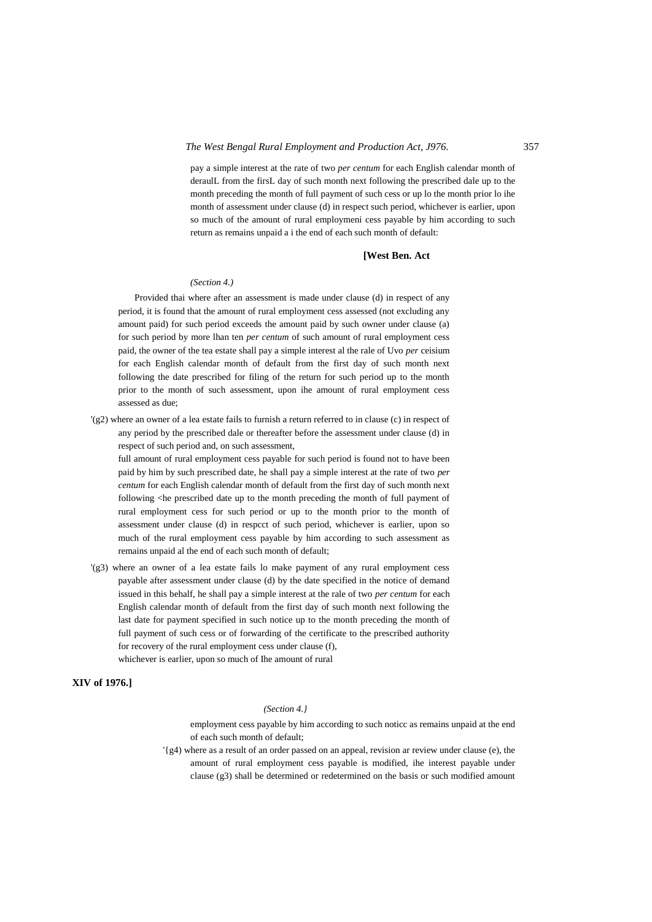pay a simple interest at the rate of two *per centum* for each English calendar month of deraulL from the firsL day of such month next following the prescribed dale up to the month preceding the month of full payment of such cess or up lo the month prior lo ihe month of assessment under clause (d) in respect such period, whichever is earlier, upon so much of the amount of rural employmeni cess payable by him according to such return as remains unpaid a i the end of each such month of default:

#### **[West Ben. Act**

#### *(Section 4.)*

Provided thai where after an assessment is made under clause (d) in respect of any period, it is found that the amount of rural employment cess assessed (not excluding any amount paid) for such period exceeds the amount paid by such owner under clause (a) for such period by more lhan ten *per centum* of such amount of rural employment cess paid, the owner of the tea estate shall pay a simple interest al the rale of Uvo *per* ceisium for each English calendar month of default from the first day of such month next following the date prescribed for filing of the return for such period up to the month prior to the month of such assessment, upon ihe amount of rural employment cess assessed as due;

'(g2) where an owner of a lea estate fails to furnish a return referred to in clause (c) in respect of any period by the prescribed dale or thereafter before the assessment under clause (d) in respect of such period and, on such assessment,

full amount of rural employment cess payable for such period is found not to have been paid by him by such prescribed date, he shall pay a simple interest at the rate of two *per centum* for each English calendar month of default from the first day of such month next following <he prescribed date up to the month preceding the month of full payment of rural employment cess for such period or up to the month prior to the month of assessment under clause (d) in respcct of such period, whichever is earlier, upon so much of the rural employment cess payable by him according to such assessment as remains unpaid al the end of each such month of default;

'(g3) where an owner of a lea estate fails lo make payment of any rural employment cess payable after assessment under clause (d) by the date specified in the notice of demand issued in this behalf, he shall pay a simple interest at the rale of two *per centum* for each English calendar month of default from the first day of such month next following the last date for payment specified in such notice up to the month preceding the month of full payment of such cess or of forwarding of the certificate to the prescribed authority for recovery of the rural employment cess under clause (f), whichever is earlier, upon so much of Ihe amount of rural

## **XIV of 1976.]**

#### *(Section 4.}*

employment cess payable by him according to such noticc as remains unpaid at the end of each such month of default;

'{g4) where as a result of an order passed on an appeal, revision ar review under clause (e), the amount of rural employment cess payable is modified, ihe interest payable under clause (g3) shall be determined or redetermined on the basis or such modified amount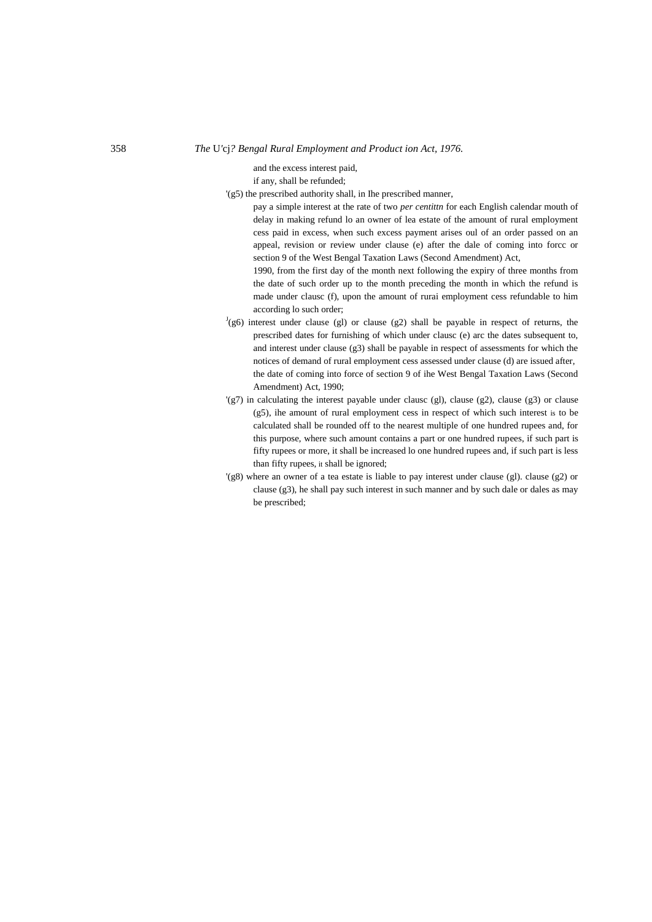## 358 *The* U*'*cj*? Bengal Rural Employment and Product ion Act, 1976.*

and the excess interest paid,

if any, shall be refunded;

'(g5) the prescribed authority shall, in Ihe prescribed manner,

pay a simple interest at the rate of two *per centittn* for each English calendar mouth of delay in making refund lo an owner of lea estate of the amount of rural employment cess paid in excess, when such excess payment arises oul of an order passed on an appeal, revision or review under clause (e) after the dale of coming into forcc or section 9 of the West Bengal Taxation Laws (Second Amendment) Act,

1990, from the first day of the month next following the expiry of three months from the date of such order up to the month preceding the month in which the refund is made under clausc (f), upon the amount of rurai employment cess refundable to him according lo such order;

- $J(g6)$  interest under clause (gl) or clause (g2) shall be payable in respect of returns, the prescribed dates for furnishing of which under clausc (e) arc the dates subsequent to, and interest under clause (g3) shall be payable in respect of assessments for which the notices of demand of rural employment cess assessed under clause (d) are issued after, the date of coming into force of section 9 of ihe West Bengal Taxation Laws (Second Amendment) Act, 1990;
- $\langle g \rangle$  in calculating the interest payable under clause (g1), clause (g2), clause (g3) or clause (g5), ihe amount of rural employment cess in respect of which such interest is to be calculated shall be rounded off to the nearest multiple of one hundred rupees and, for this purpose, where such amount contains a part or one hundred rupees, if such part is fifty rupees or more, it shall be increased lo one hundred rupees and, if such part is less than fifty rupees, it shall be ignored;
- '(g8) where an owner of a tea estate is liable to pay interest under clause (gl). clause (g2) or clause (g3), he shall pay such interest in such manner and by such dale or dales as may be prescribed;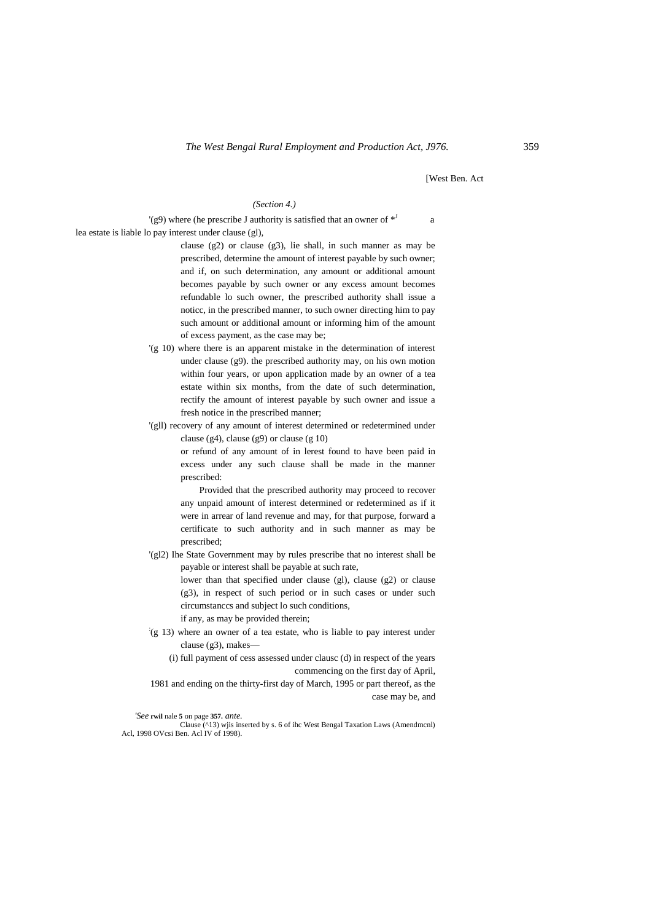[West Ben. Act

#### *(Section 4.)*

 $'(g9)$  where (he prescribe J authority is satisfied that an owner of  $*^J$ a lea estate is liable lo pay interest under clause (gl),

> clause (g2) or clause (g3), lie shall, in such manner as may be prescribed, determine the amount of interest payable by such owner; and if, on such determination, any amount or additional amount becomes payable by such owner or any excess amount becomes refundable lo such owner, the prescribed authority shall issue a noticc, in the prescribed manner, to such owner directing him to pay such amount or additional amount or informing him of the amount of excess payment, as the case may be;

- '(g 10) where there is an apparent mistake in the determination of interest under clause (g9). the prescribed authority may, on his own motion within four years, or upon application made by an owner of a tea estate within six months, from the date of such determination, rectify the amount of interest payable by such owner and issue a fresh notice in the prescribed manner;
- '(gll) recovery of any amount of interest determined or redetermined under clause (g4), clause (g9) or clause (g 10)

or refund of any amount of in lerest found to have been paid in excess under any such clause shall be made in the manner prescribed:

Provided that the prescribed authority may proceed to recover any unpaid amount of interest determined or redetermined as if it were in arrear of land revenue and may, for that purpose, forward a certificate to such authority and in such manner as may be prescribed;

'(gl2) Ihe State Government may by rules prescribe that no interest shall be payable or interest shall be payable at such rate,

> lower than that specified under clause (gl), clause (g2) or clause (g3), in respect of such period or in such cases or under such circumstanccs and subject lo such conditions,

if any, as may be provided therein;

: (g 13) where an owner of a tea estate, who is liable to pay interest under clause (g3), makes—

(i) full payment of cess assessed under clausc (d) in respect of the years commencing on the first day of April,

1981 and ending on the thirty-first day of March, 1995 or part thereof, as the case may be, and

#### *'See* **rwil** nale **5** on page **357.** *ante.*

Clause (^13) wjis inserted by s. 6 of ihc West Bengal Taxation Laws (Amendmcnl) Acl, 1998 OVcsi Ben. Acl IV of 1998).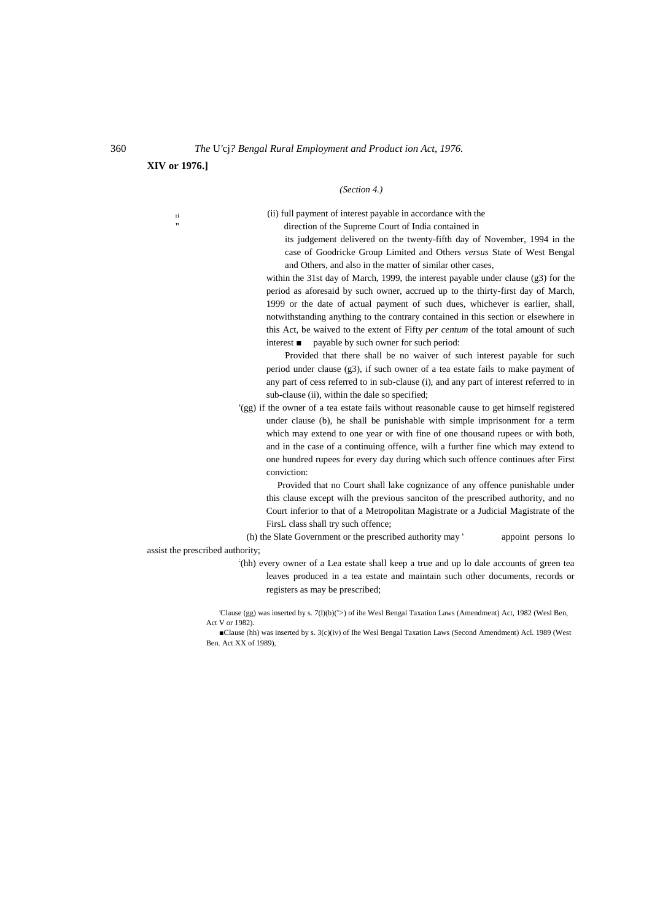**XIV or 1976.]**

### *(Section 4.)*

ri (ii) full payment of interest payable in accordance with the direction of the Supreme Court of India contained in

> its judgement delivered on the twenty-fifth day of November, 1994 in the case of Goodricke Group Limited and Others *versus* State of West Bengal and Others, and also in the matter of similar other cases,

within the 31st day of March, 1999, the interest payable under clause (g3) for the period as aforesaid by such owner, accrued up to the thirty-first day of March, 1999 or the date of actual payment of such dues, whichever is earlier, shall, notwithstanding anything to the contrary contained in this section or elsewhere in this Act, be waived to the extent of Fifty *per centum* of the total amount of such interest ■ payable by such owner for such period:

Provided that there shall be no waiver of such interest payable for such period under clause (g3), if such owner of a tea estate fails to make payment of any part of cess referred to in sub-clause (i), and any part of interest referred to in sub-clause (ii), within the dale so specified;

'(gg) if the owner of a tea estate fails without reasonable cause to get himself registered under clause (b), he shall be punishable with simple imprisonment for a term which may extend to one year or with fine of one thousand rupees or with both, and in the case of a continuing offence, wilh a further fine which may extend to one hundred rupees for every day during which such offence continues after First conviction:

Provided that no Court shall lake cognizance of any offence punishable under this clause except wilh the previous sanciton of the prescribed authority, and no Court inferior to that of a Metropolitan Magistrate or a Judicial Magistrate of the FirsL class shall try such offence;

(h) the Slate Government or the prescribed authority may ' appoint persons lo assist the prescribed authority;

> : (hh) every owner of a Lea estate shall keep a true and up lo dale accounts of green tea leaves produced in a tea estate and maintain such other documents, records or registers as may be prescribed;

<sup>&#</sup>x27;Clause (gg) was inserted by s.  $7(1)(b)(v)$  of ihe Wesl Bengal Taxation Laws (Amendment) Act, 1982 (Wesl Ben, Act V or 1982).

<sup>■</sup>Clause (hh) was inserted by s. 3(c)(iv) of Ihe Wesl Bengal Taxation Laws (Second Amendment) Acl. 1989 (West Ben. Act XX of 1989),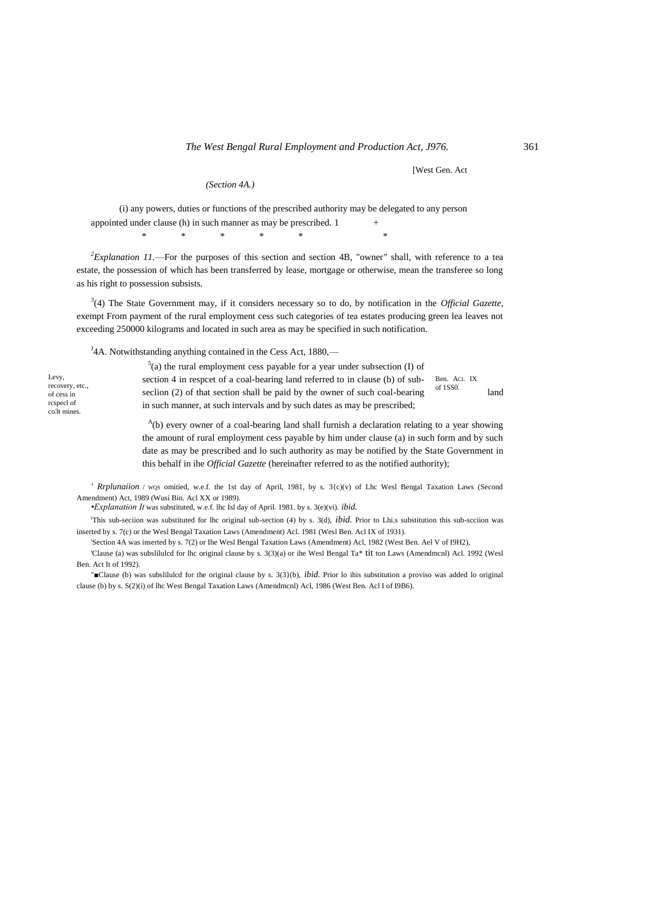*(Section 4A.)*

[West Gen. Act

(i) any powers, duties or functions of the prescribed authority may be delegated to any person appointed under clause (h) in such manner as may be prescribed.  $1 +$ 

 $*$  \* \* \* \* \*

 $2$ <sup>2</sup>Explanation 11.—For the purposes of this section and section 4B, "owner" shall, with reference to a tea estate, the possession of which has been transferred by lease, mortgage or otherwise, mean the transferee so long as his right to possession subsists.

3 (4) The State Government may, if it considers necessary so to do, by notification in the *Official Gazette*, exempt From payment of the rural employment cess such categories of tea estates producing green lea leaves not exceeding 250000 kilograms and located in such area as may be specified in such notification.

 $J<sup>J</sup>$ 4A. Notwithstanding anything contained in the Cess Act, 1880,—

Levy, recovery, etc., of cess in rcspecl of co3t mines.

Ben. ACL IX of 1SS0.  $5$ (a) the rural employment cess payable for a year under subsection (I) of section 4 in respcet of a coal-bearing land referred to in clause (b) of subseclion (2) of that section shall be paid by the owner of such coal-bearing  $\frac{0.1 \text{ J} \cdot \text{J}}{2}$  land in such manner, at such intervals and by such dates as may be prescribed;

> <sup>A</sup>(b) every owner of a coal-bearing land shall furnish a declaration relating to a year showing the amount of rural employment cess payable by him under clause (a) in such form and by such date as may be prescribed and lo such authority as may be notified by the State Government in this behalf in ihe *Official Gazette* (hereinafter referred to as the notified authority);

*' Rrplunaiion* / WQS omitied, w.e.f. the 1st day of April, 1981, by s. 3{c)(v) of Lhc Wesl Bengal Taxation Laws (Second Amendment) Act, 1989 (Wusi Bin. Acl XX or 1989).

*•Explanation It* was substituted, w.e.f. lhc Isl day of April. 1981. by s. 3(e)(vi). *ibid.*

<sup>i</sup>This sub-seciion was substituted for lhc original sub-section (4) by s. 3(d), *ibid*. Prior to Lhi.s substitution this sub-seciion was inserted by s. 7(c) or the Wesl Bengal Taxation Laws (Amendment) Acl. 1981 (Wesl Ben. Acl IX of 1931).

'Section 4A was inserted by s. 7(2) or Ihe Wesl Bengal Taxation Laws (Amendment) Acl, 1982 (West Ben. Ael V of I9H2),

'Clause (a) was subslilulcd for lhc original clause by s. 3(3)(a) or ihe Wesl Bengal Ta\* tit ton Laws (Amendmcnl) Acl. 1992 (Wesl Ben. Act It of 1992).

"■Clause (b) was subslilulcd for the original clause by s. 3(3}(b), *ibid.* Prior lo ihis substitution a proviso was added lo original clause (b) by s. S(2)(i) of lhc West Bengal Taxation Laws (Amendmcnl) Acl, 1986 (West Ben. Acl I of I9B6).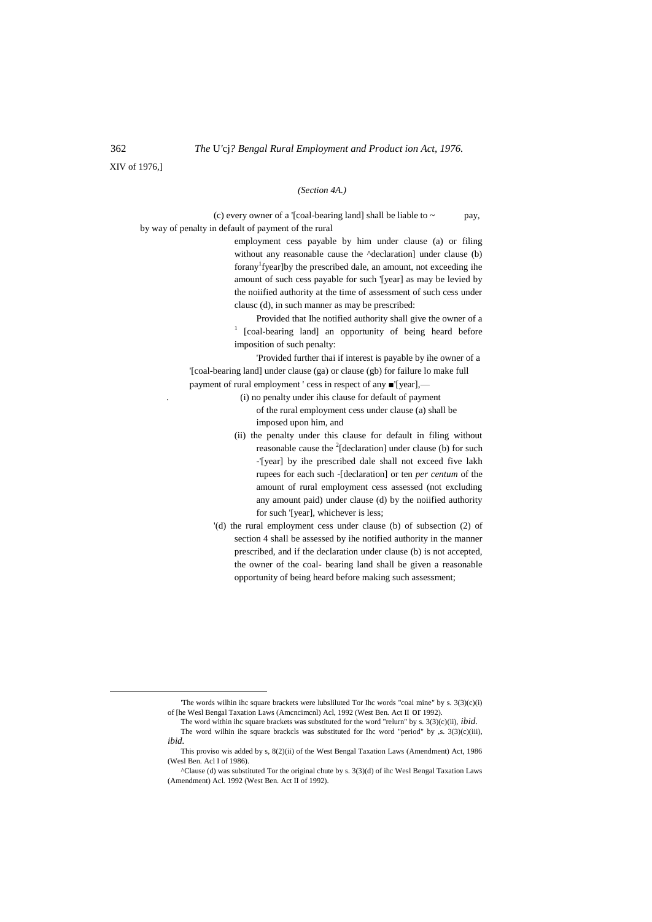XIV of 1976,]

## *(Section 4A.)*

(c) every owner of a '[coal-bearing land] shall be liable to  $\sim$  pay, by way of penalty in default of payment of the rural

> employment cess payable by him under clause (a) or filing without any reasonable cause the  $\Delta$ declaration] under clause (b) forany<sup>1</sup> fyear] by the prescribed dale, an amount, not exceeding ihe amount of such cess payable for such '[year] as may be levied by the noiified authority at the time of assessment of such cess under clausc (d), in such manner as may be prescribed:

> Provided that Ihe notified authority shall give the owner of a <sup>1</sup> [coal-bearing land] an opportunity of being heard before imposition of such penalty:

'Provided further thai if interest is payable by ihe owner of a '[coal-bearing land] under clause (ga) or clause (gb) for failure lo make full payment of rural employment ' cess in respect of any ■'[year],—

> . (i) no penalty under ihis clause for default of payment of the rural employment cess under clause (a) shall be

imposed upon him, and

- (ii) the penalty under this clause for default in filing without reasonable cause the  $2$ [declaration] under clause (b) for such -'[year] by ihe prescribed dale shall not exceed five lakh rupees for each such -[declaration] or ten *per centum* of the amount of rural employment cess assessed (not excluding any amount paid) under clause (d) by the noiified authority for such '[year], whichever is less;
- '(d) the rural employment cess under clause (b) of subsection (2) of section 4 shall be assessed by ihe notified authority in the manner prescribed, and if the declaration under clause (b) is not accepted, the owner of the coal- bearing land shall be given a reasonable opportunity of being heard before making such assessment;

 $\overline{a}$ 

<sup>&#</sup>x27;The words wilhin ihc square brackets were lubsliluted Tor Ihc words "coal mine" by s. 3(3)(c)(i) of [he Wesl Bengal Taxation Laws (Amcncimcnl) Acl, 1992 (West Ben. Act II or 1992).

The word within ihc square brackets was substituted for the word "relurn" by s. 3(3)(c)(ii), *ibid.* The word wilhin ihe square brackcls was substituted for Ihc word "period" by ,s.  $3(3)(c)(iii)$ , *ibid.*

This proviso wis added by s, 8(2)(ii) of the West Bengal Taxation Laws (Amendment) Act, 1986 (Wesl Ben. Acl I of 1986).

<sup>^</sup>Clause (d) was substituted Tor the original chute by s. 3(3)(d) of ihc Wesl Bengal Taxation Laws (Amendment) Acl. 1992 (West Ben. Act II of 1992).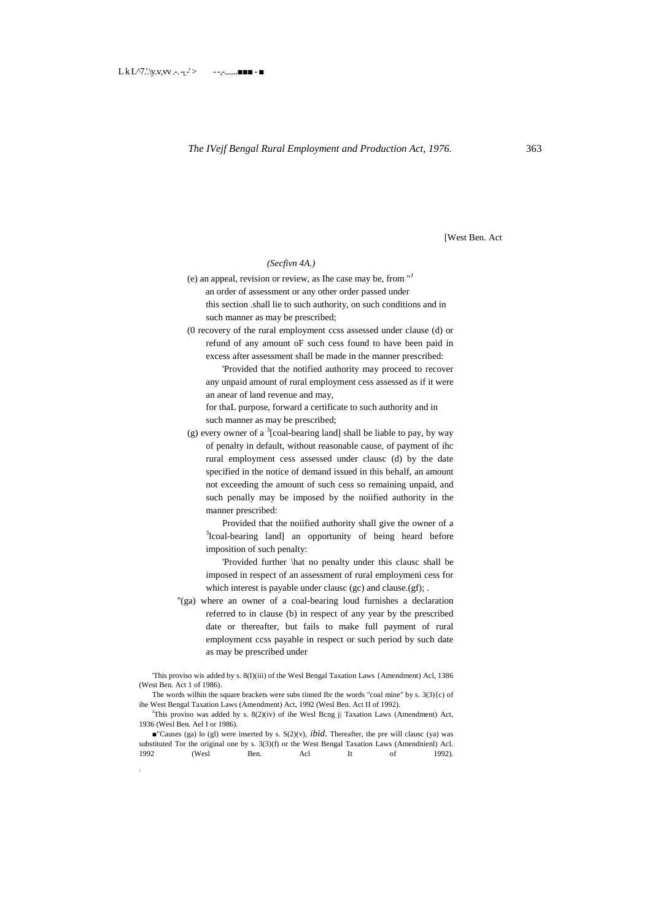[West Ben. Act

#### *(Secfivn 4A.)*

- (e) an appeal, revision or review, as Ihe case may be, from "<sup>J</sup> an order of assessment or any other order passed under this section .shall lie to such authority, on such conditions and in such manner as may be prescribed;
- (0 recovery of the rural employment ccss assessed under clause (d) or refund of any amount oF such cess found to have been paid in excess after assessment shall be made in the manner prescribed:

'Provided that the notified authority may proceed to recover any unpaid amount of rural employment cess assessed as if it were an anear of land revenue and may,

for thaL purpose, forward a certificate to such authority and in such manner as may be prescribed;

(g) every owner of a  $3$ [coal-bearing land] shall be liable to pay, by way of penalty in default, without reasonable cause, of payment of ihc rural employment cess assessed under clausc (d) by the date specified in the notice of demand issued in this behalf, an amount not exceeding the amount of such cess so remaining unpaid, and such penally may be imposed by the noiified authority in the manner prescribed:

Provided that the noiified authority shall give the owner of a <sup>3</sup>lcoal-bearing land] an opportunity of being heard before imposition of such penalty:

'Provided further \hat no penalty under this clausc shall be imposed in respect of an assessment of rural employmeni cess for which interest is payable under clausc (gc) and clause.(gf); .

''(ga) where an owner of a coal-bearing loud furnishes a declaration referred to in clause (b) in respect of any year by the prescribed date or thereafter, but fails to make full payment of rural employment ccss payable in respect or such period by such date as may be prescribed under

'This proviso wis added by s. 8(I)(iii) of the Wesl Bengal Taxation Laws {Amendment) Acl, 1386 (West Ben. Act 1 of 1986).

The words wilhin the square brackets were subs tinned Ibr the words "coal mine" by s. 3(3){c) of ihe West Bengal Taxation Laws (Amendment) Act, 1992 (Wesl Ben. Act II of 1992).

<sup>J</sup>This proviso was added hy s.  $8(2)(iv)$  of ihe Wesl Bcng j| Taxation Laws (Amendment) Act, 1936 (Wesl Ben. Ael I or 1986).

**■**"Causes (ga) lo (gl) were inserted by s.  $S(2)(v)$ , *ibid.* Thereafter, the pre will clausc (ya) was substituted Tor the original one by s. 3(3)(f) or the West Bengal Taxation Laws (Amendnienl) Acl.<br>1992 (Wesl Ben. Acl It of 1992). 1992 (Wesl Ben. Acl It of 1992).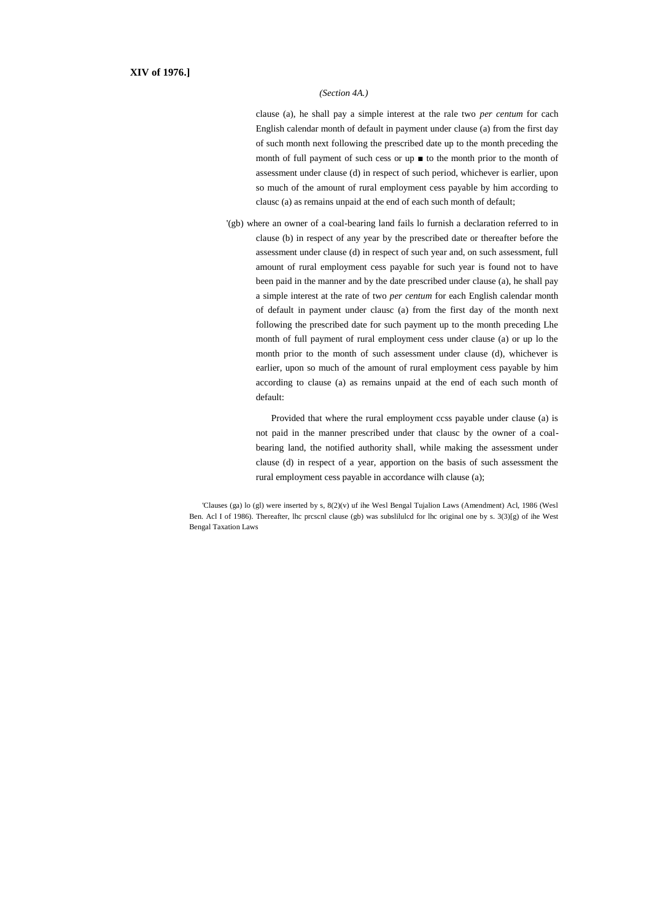### *(Section 4A.)*

clause (a), he shall pay a simple interest at the rale two *per centum* for cach English calendar month of default in payment under clause (a) from the first day of such month next following the prescribed date up to the month preceding the month of full payment of such cess or up ■ to the month prior to the month of assessment under clause (d) in respect of such period, whichever is earlier, upon so much of the amount of rural employment cess payable by him according to clausc (a) as remains unpaid at the end of each such month of default;

'(gb) where an owner of a coal-bearing land fails lo furnish a declaration referred to in clause (b) in respect of any year by the prescribed date or thereafter before the assessment under clause (d) in respect of such year and, on such assessment, full amount of rural employment cess payable for such year is found not to have been paid in the manner and by the date prescribed under clause (a), he shall pay a simple interest at the rate of two *per centum* for each English calendar month of default in payment under clausc (a) from the first day of the month next following the prescribed date for such payment up to the month preceding Lhe month of full payment of rural employment cess under clause (a) or up lo the month prior to the month of such assessment under clause (d), whichever is earlier, upon so much of the amount of rural employment cess payable by him according to clause (a) as remains unpaid at the end of each such month of default:

Provided that where the rural employment ccss payable under clause (a) is not paid in the manner prescribed under that clausc by the owner of a coalbearing land, the notified authority shall, while making the assessment under clause (d) in respect of a year, apportion on the basis of such assessment the rural employment cess payable in accordance wilh clause (a);

'Clauses (ga) lo (gl) were inserted by s, 8(2)(v) uf ihe Wesl Bengal Tujalion Laws (Amendment) Acl, 1986 (Wesl Ben. Acl I of 1986). Thereafter, lhc prcscnl clause (gb) was subslilulcd for lhc original one by s. 3(3)[g) of ihe West Bengal Taxation Laws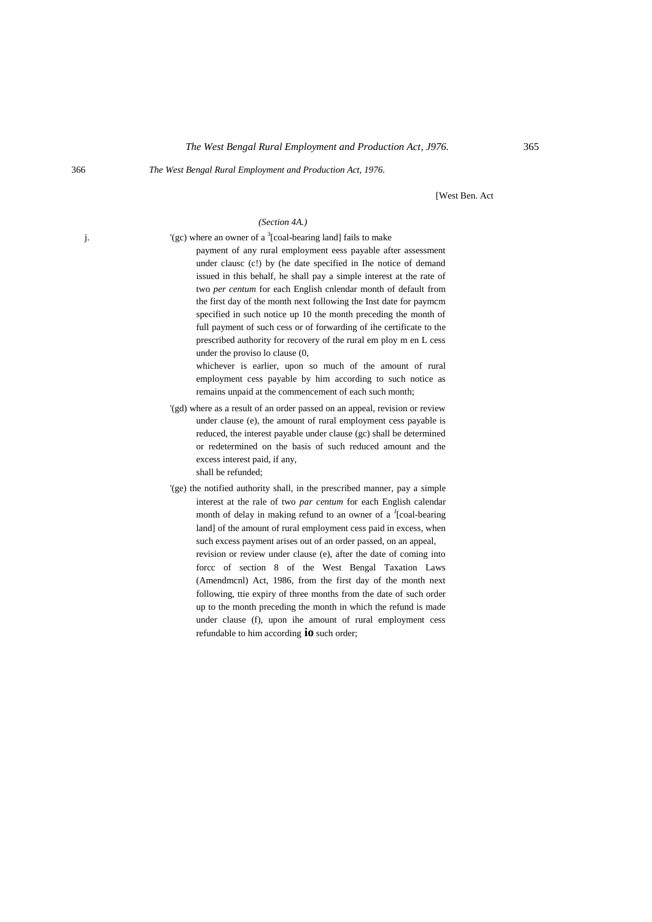#### 366 *The West Bengal Rural Employment and Production Act, 1976.*

[West Ben. Act

## *(Section 4A.)*

j.  $\left( \text{gc} \right)$  where an owner of a <sup>3</sup>[coal-bearing land] fails to make payment of any rural employment eess payable after assessment under clausc (c!) by (he date specified in Ihe notice of demand issued in this behalf, he shall pay a simple interest at the rate of two *per centum* for each English cnlendar month of default from the first day of the month next following the Inst date for paymcm specified in such notice up 10 the month preceding the month of full payment of such cess or of forwarding of ihe certificate to the prescribed authority for recovery of the rural em ploy m en L cess under the proviso lo clause (0,

whichever is earlier, upon so much of the amount of rural employment cess payable by him according to such notice as remains unpaid at the commencement of each such month;

- '(gd) where as a result of an order passed on an appeal, revision or review under clause (e), the amount of rural employment cess payable is reduced, the interest payable under clause (gc) shall be determined or redetermined on the basis of such reduced amount and the excess interest paid, if any, shall be refunded;
- '(ge) the notified authority shall, in the prescribed manner, pay a simple interest at the rale of two *par centum* for each English calendar month of delay in making refund to an owner of a <sup>J</sup>[coal-bearing land] of the amount of rural employment cess paid in excess, when such excess payment arises out of an order passed, on an appeal, revision or review under clause (e), after the date of coming into forcc of section 8 of the West Bengal Taxation Laws (Amendmcnl) Act, 1986, from the first day of the month next following, ttie expiry of three months from the date of such order up to the month preceding the month in which the refund is made under clause (f), upon ihe amount of rural employment cess refundable to him according **io** such order;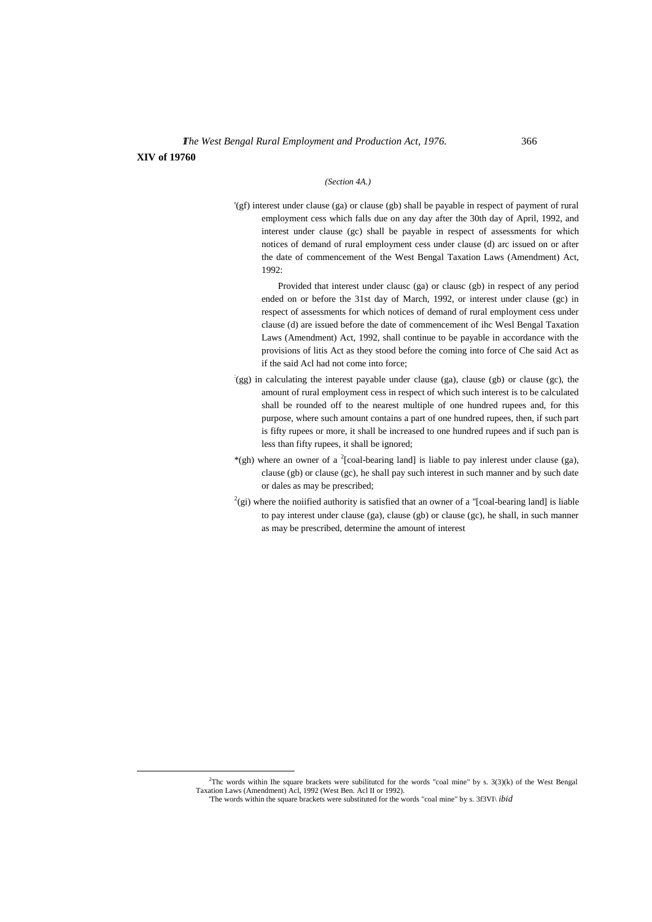**XIV of 19760**

 $\overline{a}$ 

#### *(Section 4A.)*

'(gf) interest under clause (ga) or clause (gb) shall be payable in respect of payment of rural employment cess which falls due on any day after the 30th day of April, 1992, and interest under clause (gc) shall be payable in respect of assessments for which notices of demand of rural employment cess under clause (d) arc issued on or after the date of commencement of the West Bengal Taxation Laws (Amendment) Act, 1992:

Provided that interest under clausc (ga) or clausc (gb) in respect of any period ended on or before the 31st day of March, 1992, or interest under clause (gc) in respect of assessments for which notices of demand of rural employment cess under clause (d) are issued before the date of commencement of ihc Wesl Bengal Taxation Laws (Amendment) Act, 1992, shall continue to be payable in accordance with the provisions of litis Act as they stood before the coming into force of Che said Act as if the said Acl had not come into force;

- : (gg) in calculating the interest payable under clause (ga), clause (gb) or clause (gc), the amount of rural employment cess in respect of which such interest is to be calculated shall be rounded off to the nearest multiple of one hundred rupees and, for this purpose, where such amount contains a part of one hundred rupees, then, if such part is fifty rupees or more, it shall be increased to one hundred rupees and if such pan is less than fifty rupees, it shall be ignored;
- \*(gh) where an owner of a <sup>2</sup>[coal-bearing land] is liable to pay inlerest under clause (ga), clause (gb) or clause (gc), he shall pay such interest in such manner and by such date or dales as may be prescribed;
- $2$ (gi) where the noiified authority is satisfied that an owner of a "[coal-bearing land] is liable to pay interest under clause (ga), clause (gb) or clause (gc), he shall, in such manner as may be prescribed, determine the amount of interest

 ${}^{2}$ Thc words within Ihe square brackets were subilituted for the words "coal mine" by s. 3(3)(k) of the West Bengal Taxation Laws (Amendment) Acl, 1992 (West Ben. Acl II or 1992).

<sup>&#</sup>x27;The words within the square brackets were substituted for the words "coal mine" by s. 3f3VI\ *ibid*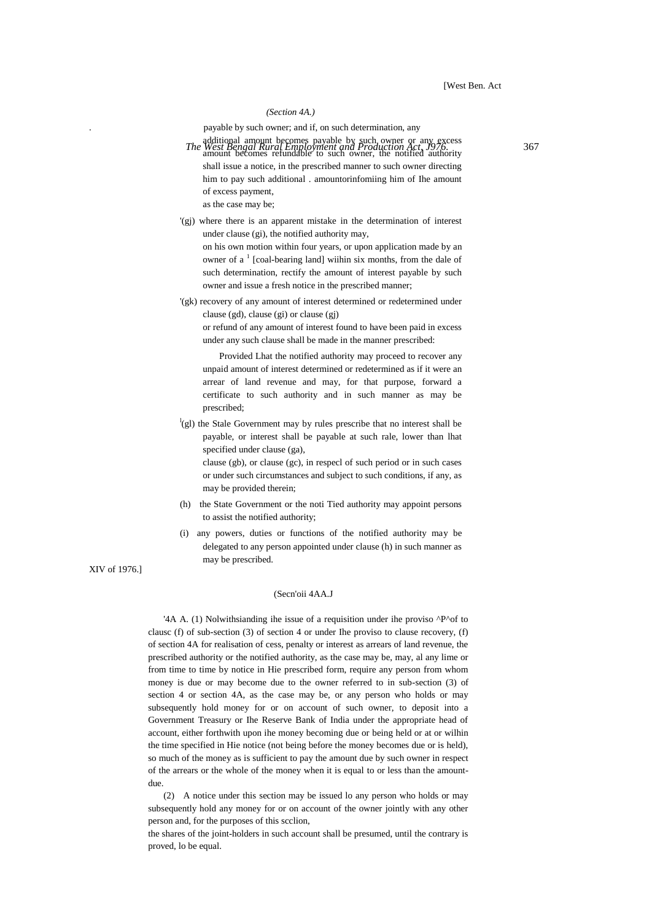#### *(Section 4A.)*

. payable by such owner; and if, on such determination, any

- additional amount becomes payable by such owner or any excess<br>*The West Bengal Rural Employment and Production Act, J976.* amount becomes refundable to such owner, the notified authority shall issue a notice, in the prescribed manner to such owner directing him to pay such additional . amountorinfomiing him of Ihe amount of excess payment, as the case may be;
- '(gj) where there is an apparent mistake in the determination of interest under clause (gi), the notified authority may,

on his own motion within four years, or upon application made by an owner of a<sup>1</sup> [coal-bearing land] wiihin six months, from the dale of such determination, rectify the amount of interest payable by such owner and issue a fresh notice in the prescribed manner;

'(gk) recovery of any amount of interest determined or redetermined under clause (gd), clause (gi) or clause (gj)

or refund of any amount of interest found to have been paid in excess under any such clause shall be made in the manner prescribed:

Provided Lhat the notified authority may proceed to recover any unpaid amount of interest determined or redetermined as if it were an arrear of land revenue and may, for that purpose, forward a certificate to such authority and in such manner as may be prescribed;

<sup>1</sup>(gl) the Stale Government may by rules prescribe that no interest shall be payable, or interest shall be payable at such rale, lower than lhat specified under clause (ga),

clause (gb), or clause (gc), in respecl of such period or in such cases or under such circumstances and subject to such conditions, if any, as may be provided therein;

- (h) the State Government or the noti Tied authority may appoint persons to assist the notified authority;
- (i) any powers, duties or functions of the notified authority may be delegated to any person appointed under clause (h) in such manner as may be prescribed.

## (Secn'oii 4AA.J

'4A A. (1) Nolwithsianding ihe issue of a requisition under ihe proviso ^P^of to clausc (f) of sub-section (3) of section 4 or under Ihe proviso to clause recovery, (f) of section 4A for realisation of cess, penalty or interest as arrears of land revenue, the prescribed authority or the notified authority, as the case may be, may, al any lime or from time to time by notice in Hie prescribed form, require any person from whom money is due or may become due to the owner referred to in sub-section (3) of section 4 or section 4A, as the case may be, or any person who holds or may subsequently hold money for or on account of such owner, to deposit into a Government Treasury or Ihe Reserve Bank of India under the appropriate head of account, either forthwith upon ihe money becoming due or being held or at or wilhin the time specified in Hie notice (not being before the money becomes due or is held), so much of the money as is sufficient to pay the amount due by such owner in respect of the arrears or the whole of the money when it is equal to or less than the amountdue.

(2) A notice under this section may be issued lo any person who holds or may subsequently hold any money for or on account of the owner jointly with any other person and, for the purposes of this scclion,

the shares of the joint-holders in such account shall be presumed, until the contrary is proved, lo be equal.

XIV of 1976.]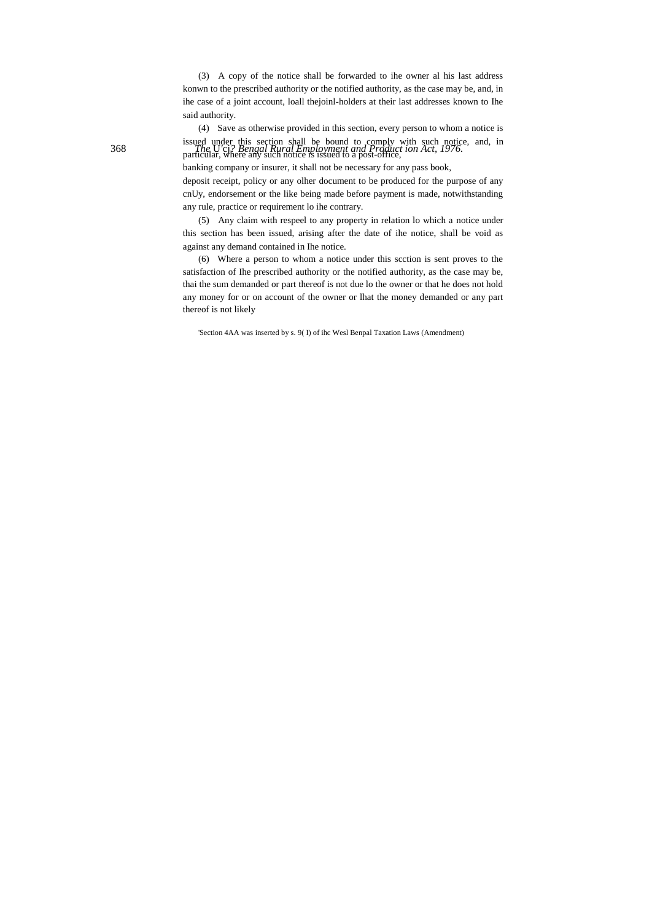(3) A copy of the notice shall be forwarded to ihe owner al his last address konwn to the prescribed authority or the notified authority, as the case may be, and, in ihe case of a joint account, loall thejoinl-holders at their last addresses known to Ihe said authority.

issued under this section shall be bound to comply with such notice, and, in<br>368 **The U**'cj<sub>i</sub>? Bengal Rural Employment and Product ion Act, 1976. (4) Save as otherwise provided in this section, every person to whom a notice is particular, where any such notice is issued to a post-office,

banking company or insurer, it shall not be necessary for any pass book,

deposit receipt, policy or any olher document to be produced for the purpose of any cnUy, endorsement or the like being made before payment is made, notwithstanding any rule, practice or requirement lo ihe contrary.

(5) Any claim with respeel to any property in relation lo which a notice under this section has been issued, arising after the date of ihe notice, shall be void as against any demand contained in Ihe notice.

(6) Where a person to whom a notice under this scction is sent proves to the satisfaction of Ihe prescribed authority or the notified authority, as the case may be, thai the sum demanded or part thereof is not due lo the owner or that he does not hold any money for or on account of the owner or lhat the money demanded or any part thereof is not likely

'Section 4AA was inserted by s. 9( I) of ihc Wesl Benpal Taxation Laws (Amendment)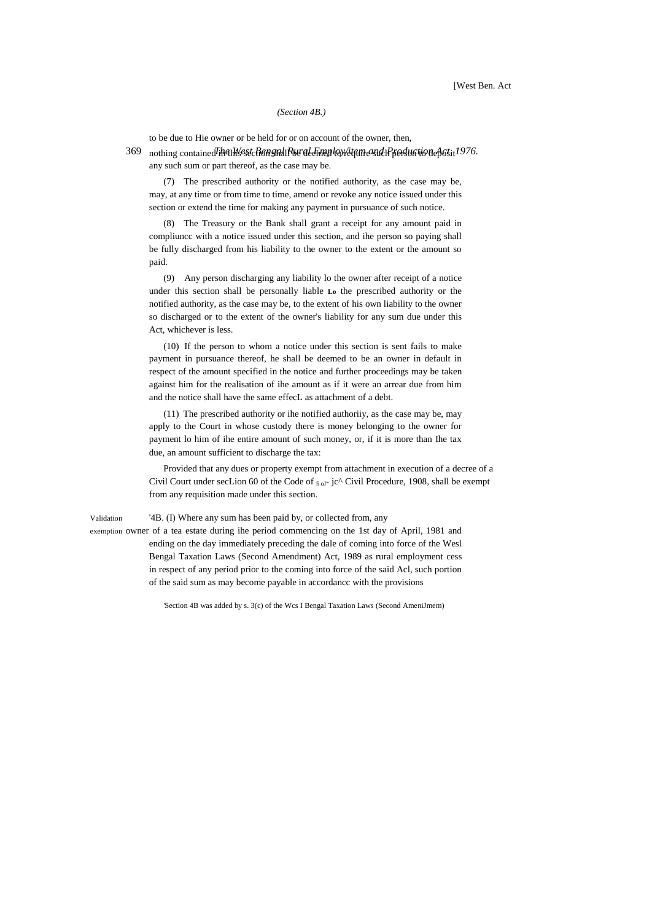#### *(Section 4B.)*

to be due to Hie owner or be held for or on account of the owner, then,

369 nothing contained i<del>n art West Act 8 shall Rur al Anna</del> kwitten a such persua tion a passit 1976. any such sum or part thereof, as the case may be.

(7) The prescribed authority or the notified authority, as the case may be, may, at any time or from time to time, amend or revoke any notice issued under this section or extend the time for making any payment in pursuance of such notice.

(8) The Treasury or the Bank shall grant a receipt for any amount paid in compliuncc with a notice issued under this section, and ihe person so paying shall be fully discharged from his liability to the owner to the extent or the amount so paid.

(9) Any person discharging any liability lo the owner after receipt of a notice under this section shall be personally liable **Lo** the prescribed authority or the notified authority, as the case may be, to the extent of his own liability to the owner so discharged or to the extent of the owner's liability for any sum due under this Act, whichever is less.

(10) If the person to whom a notice under this section is sent fails to make payment in pursuance thereof, he shall be deemed to be an owner in default in respect of the amount specified in the notice and further proceedings may be taken against him for the realisation of ihe amount as if it were an arrear due from him and the notice shall have the same effecL as attachment of a debt.

(11) The prescribed authority or ihe notified authoriiy, as the case may be, may apply to the Court in whose custody there is money belonging to the owner for payment lo him of ihe entire amount of such money, or, if it is more than Ihe tax due, an amount sufficient to discharge the tax:

Provided that any dues or property exempt from attachment in execution of a decree of a Civil Court under secLion 60 of the Code of  $_{5 \text{ oJ}}$ - jc^ Civil Procedure, 1908, shall be exempt from any requisition made under this section.

Validation '4B. (I) Where any sum has been paid by, or collected from, any

exemption owner of a tea estate during ihe period commencing on the 1st day of April, 1981 and ending on the day immediately preceding the dale of coming into force of the Wesl Bengal Taxation Laws (Second Amendment) Act, 1989 as rural employment cess in respect of any period prior to the coming into force of the said Acl, such portion of the said sum as may become payable in accordancc with the provisions

'Section 4B was added by s. 3(c) of the Wcs I Bengal Taxation Laws (Second AmeniJmem)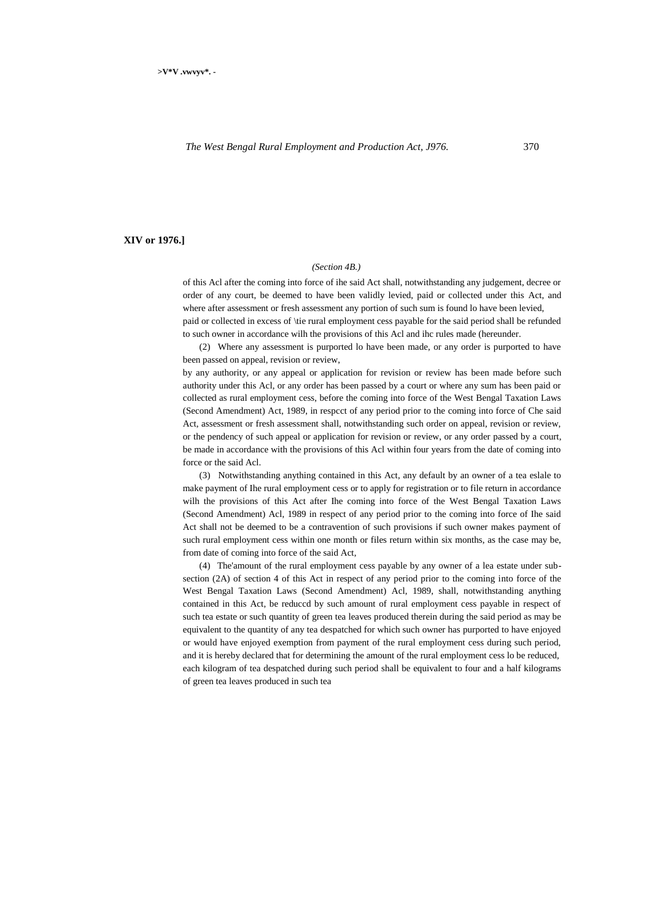## **XIV or 1976.]**

#### *(Section 4B.)*

of this Acl after the coming into force of ihe said Act shall, notwithstanding any judgement, decree or order of any court, be deemed to have been validly levied, paid or collected under this Act, and where after assessment or fresh assessment any portion of such sum is found lo have been levied, paid or collected in excess of \tie rural employment cess payable for the said period shall be refunded to such owner in accordance wilh the provisions of this Acl and ihc rules made (hereunder.

(2) Where any assessment is purported lo have been made, or any order is purported to have been passed on appeal, revision or review,

by any authority, or any appeal or application for revision or review has been made before such authority under this Acl, or any order has been passed by a court or where any sum has been paid or collected as rural employment cess, before the coming into force of the West Bengal Taxation Laws (Second Amendment) Act, 1989, in respcct of any period prior to the coming into force of Che said Act, assessment or fresh assessment shall, notwithstanding such order on appeal, revision or review, or the pendency of such appeal or application for revision or review, or any order passed by a court, be made in accordance with the provisions of this Acl within four years from the date of coming into force or the said Acl.

(3) Notwithstanding anything contained in this Act, any default by an owner of a tea eslale to make payment of Ihe rural employment cess or to apply for registration or to file return in accordance wilh the provisions of this Act after Ihe coming into force of the West Bengal Taxation Laws (Second Amendment) Acl, 1989 in respect of any period prior to the coming into force of Ihe said Act shall not be deemed to be a contravention of such provisions if such owner makes payment of such rural employment cess within one month or files return within six months, as the case may be, from date of coming into force of the said Act,

(4) The'amount of the rural employment cess payable by any owner of a lea estate under subsection (2A) of section 4 of this Act in respect of any period prior to the coming into force of the West Bengal Taxation Laws (Second Amendment) Acl, 1989, shall, notwithstanding anything contained in this Act, be reduccd by such amount of rural employment cess payable in respect of such tea estate or such quantity of green tea leaves produced therein during the said period as may be equivalent to the quantity of any tea despatched for which such owner has purported to have enjoyed or would have enjoyed exemption from payment of the rural employment cess during such period, and it is hereby declared that for determining the amount of the rural employment cess lo be reduced, each kilogram of tea despatched during such period shall be equivalent to four and a half kilograms of green tea leaves produced in such tea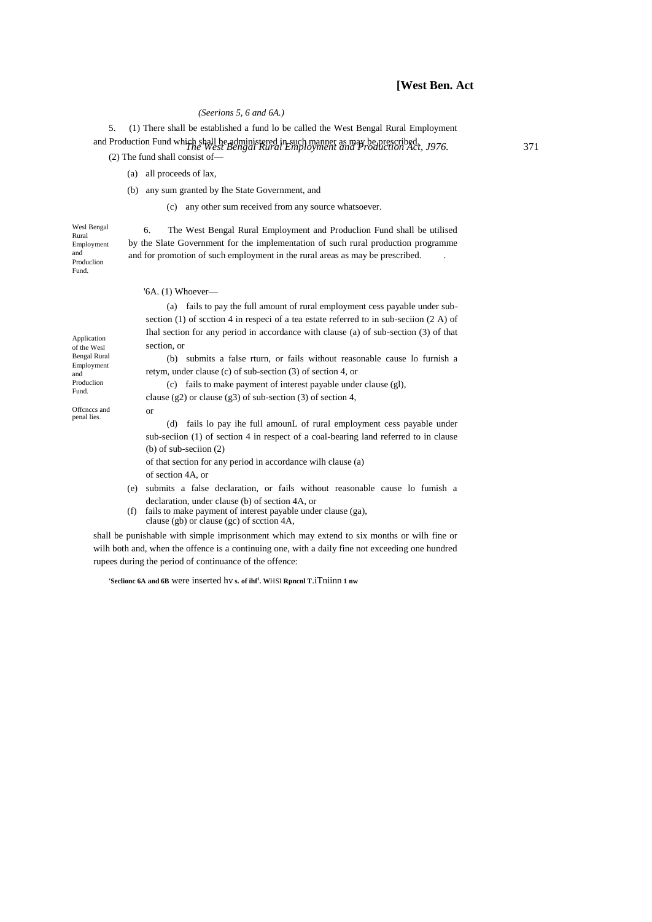## *(Seerions 5, 6 and 6A.)*

*The West Bengal Rural Employment and Production Act, J976.* 371 and Production Fund which shall be administered in such manner as may be prescribed. 5. (1) There shall be established a fund lo be called the West Bengal Rural Employment

(2) The fund shall consist of—

- (a) all proceeds of lax,
- (b) any sum granted by Ihe State Government, and

(c) any other sum received from any source whatsoever.

Wesl Bengal Rural Employment and Produclion Fund.

6. The West Bengal Rural Employment and Produclion Fund shall be utilised by the Slate Government for the implementation of such rural production programme and for promotion of such employment in the rural areas as may be prescribed. .

|                                                  |     | $\mathcal{A}$ . (1) Whoever—                                                                                                                                            |
|--------------------------------------------------|-----|-------------------------------------------------------------------------------------------------------------------------------------------------------------------------|
| Application                                      |     | (a) fails to pay the full amount of rural employment cess payable under sub-<br>section (1) of section 4 in respect of a tea estate referred to in sub-section (2 A) of |
|                                                  |     | That section for any period in accordance with clause (a) of sub-section $(3)$ of that<br>section, or                                                                   |
| of the Wesl<br><b>Bengal Rural</b><br>Employment |     | (b) submits a false rturn, or fails without reasonable cause to furnish a<br>retym, under clause (c) of sub-section $(3)$ of section 4, or                              |
| and<br>Produclion<br>Fund.                       |     | (c) fails to make payment of interest payable under clause (gl),<br>clause (g2) or clause (g3) of sub-section (3) of section 4,                                         |
| Offenees and<br>penal lies.                      |     | <sub>or</sub><br>(d) fails to pay the full amount of rural employment cess payable under                                                                                |
|                                                  |     | sub-section (1) of section 4 in respect of a coal-bearing land referred to in clause                                                                                    |
|                                                  |     | (b) of sub-section $(2)$<br>of that section for any period in accordance will clause (a)                                                                                |
|                                                  |     | of section 4A, or                                                                                                                                                       |
|                                                  | (e) | submits a false declaration, or fails without reasonable cause to fumish a                                                                                              |
|                                                  |     | declaration, under clause (b) of section 4A, or                                                                                                                         |
|                                                  | (f) | fails to make payment of interest payable under clause (ga),                                                                                                            |

clause (gb) or clause (gc) of scction 4A,

shall be punishable with simple imprisonment which may extend to six months or wilh fine or wilh both and, when the offence is a continuing one, with a daily fine not exceeding one hundred rupees during the period of continuance of the offence:

**'Seclionc 6A and 6B** were inserted hv **s. of ihf<sup>1</sup> . W**HSI **Rpncnl T**.iTniinn **1 nw**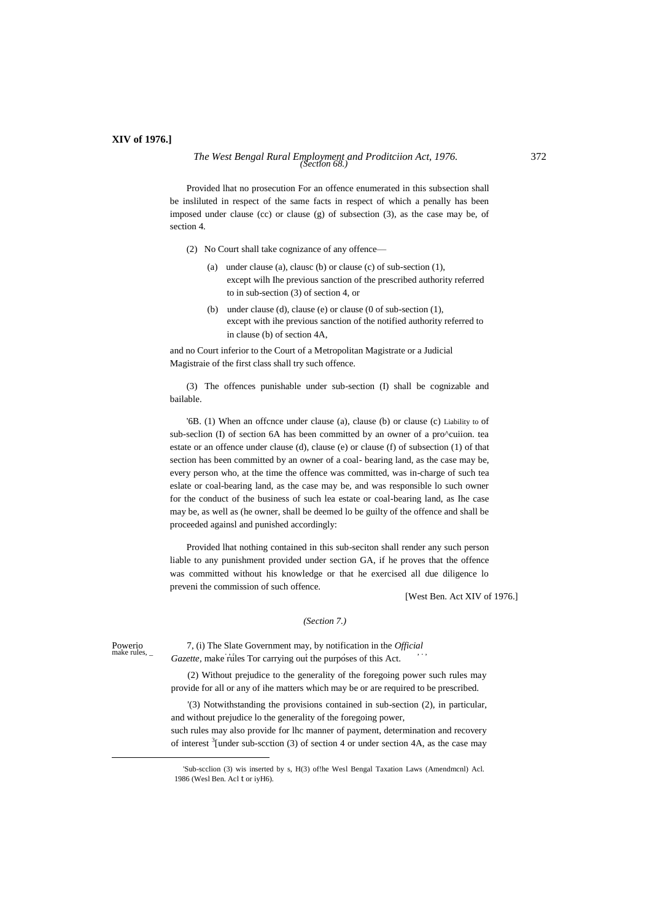## **XIV of 1976.]**

# *The West Bengal Rural Employment and Proditciion Act, 1976.* 372 *(Section 68.)*

Provided lhat no prosecution For an offence enumerated in this subsection shall be insliluted in respect of the same facts in respect of which a penally has been imposed under clause (cc) or clause (g) of subsection (3), as the case may be, of section 4.

- (2) No Court shall take cognizance of any offence—
	- (a) under clause (a), clausc (b) or clause (c) of sub-section (1), except wilh Ihe previous sanction of the prescribed authority referred to in sub-section (3) of section 4, or
	- (b) under clause (d), clause (e) or clause (0 of sub-section (1), except with ihe previous sanction of the notified authority referred to in clause (b) of section 4A,

and no Court inferior to the Court of a Metropolitan Magistrate or a Judicial Magistraie of the first class shall try such offence.

(3) The offences punishable under sub-section (I) shall be cognizable and bailable.

'6B. (1) When an offcnce under clause (a), clause (b) or clause (c) Liability to of sub-seclion (I) of section 6A has been committed by an owner of a pro^cuiion. tea estate or an offence under clause (d), clause (e) or clause (f) of subsection (1) of that section has been committed by an owner of a coal- bearing land, as the case may be, every person who, at the time the offence was committed, was in-charge of such tea eslate or coal-bearing land, as the case may be, and was responsible lo such owner for the conduct of the business of such lea estate or coal-bearing land, as Ihe case may be, as well as (he owner, shall be deemed lo be guilty of the offence and shall be proceeded againsl and punished accordingly:

Provided lhat nothing contained in this sub-seciton shall render any such person liable to any punishment provided under section GA, if he proves that the offence was committed without his knowledge or that he exercised all due diligence lo preveni the commission of such offence.

[West Ben. Act XIV of 1976.]

## *(Section 7.)*

1

Powerio 7, (i) The Slate Government may, by notification in the *Official* make rules. make rules, \_ . , <sup>r</sup> , , , . , *Gazette,* make rules Tor carrying out the purposes of this Act.

> (2) Without prejudice to the generality of the foregoing power such rules may provide for all or any of ihe matters which may be or are required to be prescribed.

> '(3) Notwithstanding the provisions contained in sub-section (2), in particular, and without prejudice lo the generality of the foregoing power,

> such rules may also provide for lhc manner of payment, determination and recovery of interest  $\frac{3}{2}$  [under sub-scction (3) of section 4 or under section 4A, as the case may

<sup>&#</sup>x27;Sub-scclion (3) wis inserted by s, H(3) of!he Wesl Bengal Taxation Laws (Amendmcnl) Acl. 1986 (Wesl Ben. Acl t or iyH6).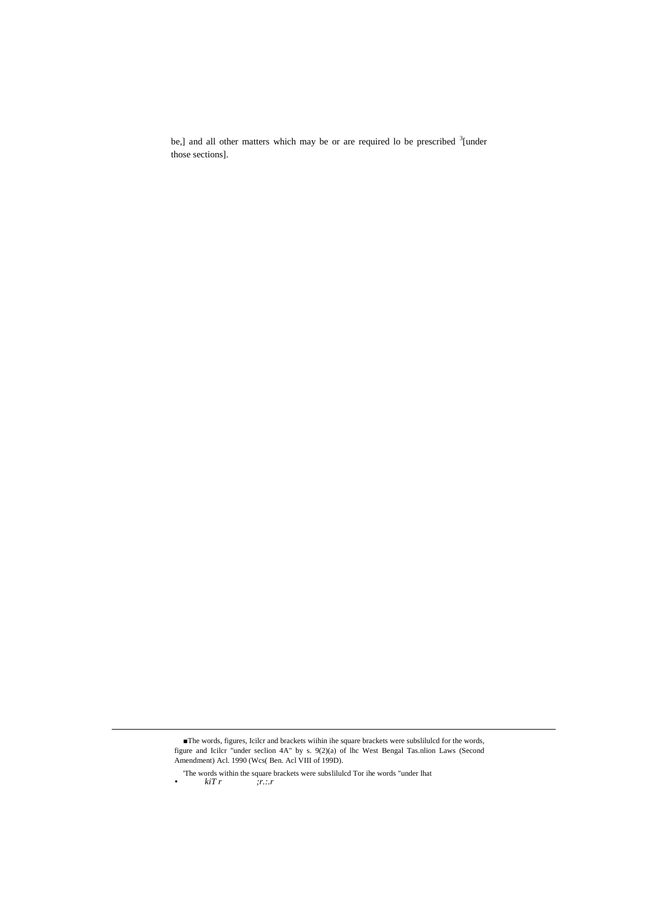be,] and all other matters which may be or are required lo be prescribed  $\frac{3}{2}$  under those sections].

<u>.</u>

<sup>■</sup>The words, figures, Icilcr and brackets wiihin ihe square brackets were subslilulcd for the words, figure and Icilcr "under seclion 4A" by s. 9(2)(a) of lhc West Bengal Tas.nlion Laws (Second Amendment) Acl. 1990 (Wcs( Ben. Acl VIII of 199D).

<sup>&#</sup>x27;The words within the square brackets were subslilulcd Tor ihe words "under lhat *• kiT r ;r.:.r*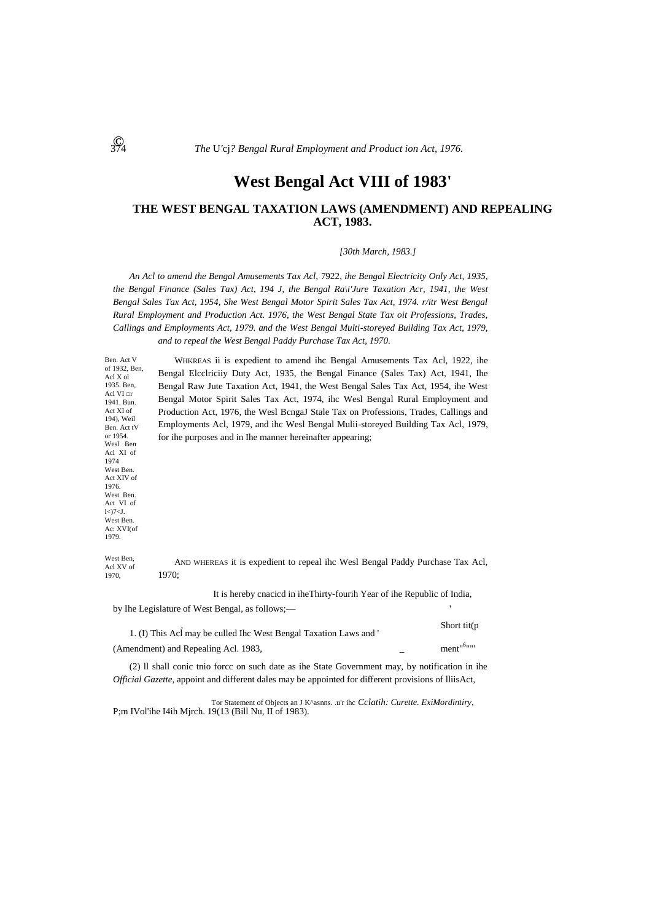# **West Bengal Act VIII of 1983'**

# **THE WEST BENGAL TAXATION LAWS (AMENDMENT) AND REPEALING ACT, 1983.**

*[30th March, 1983.]*

*An Acl to amend the Bengal Amusements Tax Acl,* 7922, *ihe Bengal Electricity Only Act, 1935, the Bengal Finance (Sales Tax) Act, 194 J, the Bengal Ra\i'Jure Taxation Acr, 1941, the West Bengal Sales Tax Act, 1954, She West Bengal Motor Spirit Sales Tax Act, 1974. r/itr West Bengal Rural Employment and Production Act. 1976, the West Bengal State Tax oit Professions, Trades, Callings and Employments Act, 1979. and the West Bengal Multi-storeyed Building Tax Act, 1979, and to repeal the West Bengal Paddy Purchase Tax Act, 1970.*

of 1932, Ben, WHKREAS ii is expedient to amend ihc Bengal Amusements Tax Acl, 1922, ihe Bengal Elcclriciiy Duty Act, 1935, the Bengal Finance (Sales Tax) Act, 1941, Ihe Bengal Raw Jute Taxation Act, 1941, the West Bengal Sales Tax Act, 1954, ihe West Bengal Motor Spirit Sales Tax Act, 1974, ihc Wesl Bengal Rural Employment and Production Act, 1976, the Wesl BcngaJ Stale Tax on Professions, Trades, Callings and Employments Acl, 1979, and ihc Wesl Bengal Mulii-storeyed Building Tax Acl, 1979, for ihe purposes and in Ihe manner hereinafter appearing;

West Ben, Acl XV of 1970, AND WHEREAS it is expedient to repeal ihc Wesl Bengal Paddy Purchase Tax Acl, 1970;

It is hereby cnacicd in iheThirty-fourih Year of ihe Republic of India,

by Ihe Legislature of West Bengal, as follows;—

| 1. (I) This Acl may be culled Ihc West Bengal Taxation Laws and ' | Short tit( $p$         |
|-------------------------------------------------------------------|------------------------|
| (Amendment) and Repealing Acl. 1983,                              | ment <sup>161111</sup> |

(2) ll shall conic tnio forcc on such date as ihe State Government may, by notification in ihe *Official Gazette,* appoint and different dales may be appointed for different provisions of lliisAct,

Tor Statement of Objects an J K^asnns. .u'r ihc *Cclatih: Curette. ExiMordintiry,* P;m IVol'ihe I4ih Mjrch. 19(13 (Bill Nu, II of 1983).

Ben. Act V

Acl X ol 1935. Ben, Acl VI □r 1941. Bun. Act XI of 194), Weil Ben. Act tV or 1954. Wesl Ben Acl XI of 1974 West Ben. Act XIV of 1976. West Ben. Act VI of l<)7<J. West Ben. Ac: XVI(of 1979.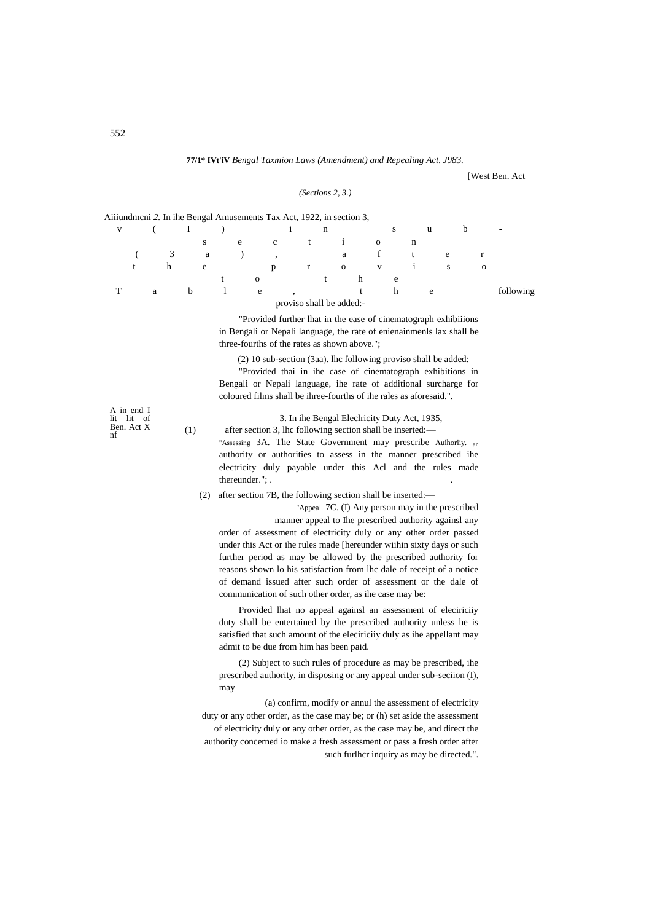#### **77/1\* IVt'iV** *Bengal Taxmion Laws (Amendment) and Repealing Act. J983.*

[West Ben. Act

## *(Sections 2, 3.)*

| Aiiiundmeni 2. In ihe Bengal Amusements Tax Act, 1922, in section 3,— |   |   |   |   |   |          |              |                           |              |   |                |   |          |   |   |   |   |   |          |                          |
|-----------------------------------------------------------------------|---|---|---|---|---|----------|--------------|---------------------------|--------------|---|----------------|---|----------|---|---|---|---|---|----------|--------------------------|
| V                                                                     |   |   |   |   |   |          |              |                           |              | n |                |   |          | S |   | u |   | b |          | $\overline{\phantom{a}}$ |
|                                                                       |   |   |   | s | e |          | $\mathbf{c}$ |                           | $-t$         |   |                |   | $\Omega$ |   | n |   |   |   |          |                          |
|                                                                       |   | 3 |   | a |   |          | $\cdot$      |                           |              |   | a              |   | t.       |   |   |   | e |   |          |                          |
|                                                                       |   | h |   | e |   |          | p            |                           | $\mathbf{r}$ |   | $\overline{0}$ |   | V        |   |   |   | S |   | $\Omega$ |                          |
|                                                                       |   |   |   |   |   | $\Omega$ |              |                           |              |   |                | h |          | e |   |   |   |   |          |                          |
|                                                                       | a |   | b |   |   | e        |              |                           |              |   |                | t |          | h |   | e |   |   |          | following                |
|                                                                       |   |   |   |   |   |          |              | proviso shall be added:-- |              |   |                |   |          |   |   |   |   |   |          |                          |

"Provided further lhat in the ease of cinematograph exhibiiions in Bengali or Nepali language, the rate of enienainmenls lax shall be three-fourths of the rates as shown above.";

(2) 10 sub-section (3aa). lhc following proviso shall be added:— "Provided thai in ihe case of cinematograph exhibitions in Bengali or Nepali language, ihe rate of additional surcharge for coloured films shall be ihree-fourths of ihe rales as aforesaid.".

A in end I lit lit of Ben. Act X nf

3. In ihe Bengal Eleclricity Duty Act, 1935,—

(1) after section 3, lhc following section shall be inserted:— "Assessing 3A. The State Government may prescribe Auihoriiy. an authority or authorities to assess in the manner prescribed ihe electricity duly payable under this Acl and the rules made thereunder."; . .

(2) after section 7B, the following section shall be inserted:—

"Appeal. 7C. (I) Any person may in the prescribed

manner appeal to Ihe prescribed authority againsl any order of assessment of electricity duly or any other order passed under this Act or ihe rules made [hereunder wiihin sixty days or such further period as may be allowed by the prescribed authority for reasons shown lo his satisfaction from lhc dale of receipt of a notice of demand issued after such order of assessment or the dale of communication of such other order, as ihe case may be:

Provided lhat no appeal againsl an assessment of eleciriciiy duty shall be entertained by the prescribed authority unless he is satisfied that such amount of the eleciriciiy duly as ihe appellant may admit to be due from him has been paid.

(2) Subject to such rules of procedure as may be prescribed, ihe prescribed authority, in disposing or any appeal under sub-seciion (I), may—

(a) confirm, modify or annul the assessment of electricity duty or any other order, as the case may be; or (h) set aside the assessment of electricity duly or any other order, as the case may be, and direct the authority concerned io make a fresh assessment or pass a fresh order after such furlhcr inquiry as may be directed.".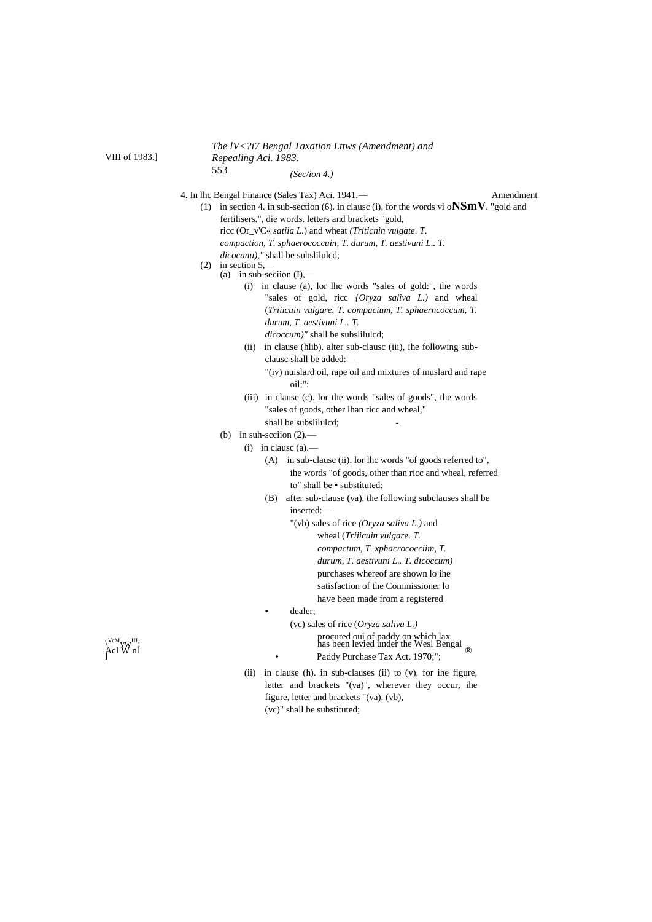*The lV<?i7 Bengal Taxation Lttws (Amendment) and Repealing Aci. 1983.* 553 *(Sec/ion 4.)*

4. In lhc Bengal Finance (Sales Tax) Aci. 1941.— Amendment

- (1) in section 4. in sub-section (6). in clausc (i), for the words vi o**NSmV**. "gold and fertilisers.", die words. letters and brackets "gold,
	- ricc (Or\_v'C« *satiia L.*) and wheat *(Triticnin vulgate. T.*

*compaction, T. sphaerococcuin, T. durum, T. aestivuni L.. T.*

- *dicocanu),"* shall be subslilulcd;
- $(2)$  in section 5.
	- (a) in sub-seciion  $(I)$ ,—
		- (i) in clause (a), lor lhc words "sales of gold:", the words "sales of gold, ricc *{Oryza saliva L.)* and wheal (*Triiicuin vulgare. T. compacium, T. sphaerncoccum, T. durum, T. aestivuni L.. T. dicoccum)"* shall be subslilulcd;
		- (ii) in clause (hlib). alter sub-clausc (iii), ihe following subclausc shall be added:—

"(iv) nuislard oil, rape oil and mixtures of muslard and rape oil;":

- (iii) in clause (c). lor the words "sales of goods", the words "sales of goods, other lhan ricc and wheal," shall be subsliluled;
- (b) in suh-section  $(2)$ .
	- (i) in clausc (a).—
		- (A) in sub-clausc (ii). lor lhc words "of goods referred to", ihe words "of goods, other than ricc and wheal, referred to" shall be • substituted;
		- (B) after sub-clause (va). the following subclauses shall be inserted:—
			- "(vb) sales of rice *(Oryza saliva L.)* and wheal (*Triiicuin vulgare. T. compactum, T. xphacrococciim, T. durum, T. aestivuni L.. T. dicoccum)* purchases whereof are shown lo ihe satisfaction of the Commissioner lo have been made from a registered
			- dealer;
- (vc) sales of rice (*Oryza saliva L.)*  $\mu_{\text{M}_{\text{V}}^{\text{VcM}_{\text{UV}}}$  under the Wesl Bengal and  $\mu_{\text{VcM}}$  has been levied under the Wesl Bengal  $\text{Acl W}$  nl Paddy Purchase Tax Act. 1970;";
	- (ii) in clause (h). in sub-clauses (ii) to (v). for ihe figure, letter and brackets "(va)", wherever they occur, ihe figure, letter and brackets "(va). (vb), (vc)" shall be substituted;



VIII of 1983.]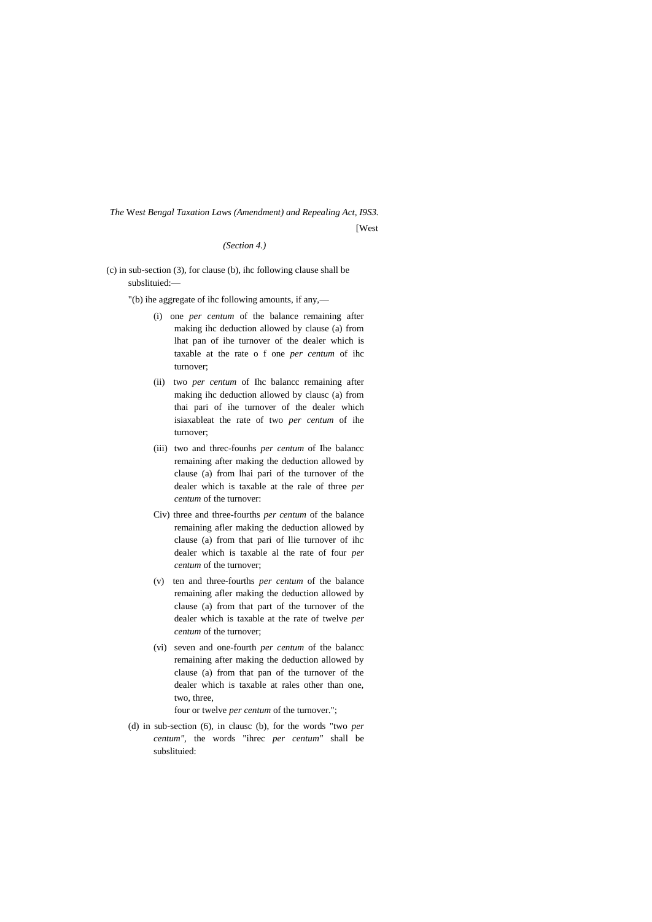*The* We*st Bengal Taxation Laws (Amendment) and Repealing Act, I9S3.*

[West]

*(Section 4.)*

(c) in sub-section (3), for clause (b), ihc following clause shall be subslituied:—

"(b) ihe aggregate of ihc following amounts, if any,—

- (i) one *per centum* of the balance remaining after making ihc deduction allowed by clause (a) from lhat pan of ihe turnover of the dealer which is taxable at the rate o f one *per centum* of ihc turnover;
- (ii) two *per centum* of Ihc balancc remaining after making ihc deduction allowed by clausc (a) from thai pari of ihe turnover of the dealer which isiaxableat the rate of two *per centum* of ihe turnover;
- (iii) two and threc-founhs *per centum* of Ihe balancc remaining after making the deduction allowed by clause (a) from lhai pari of the turnover of the dealer which is taxable at the rale of three *per centum* of the turnover:
- Civ) three and three-fourths *per centum* of the balance remaining afler making the deduction allowed by clause (a) from that pari of llie turnover of ihc dealer which is taxable al the rate of four *per centum* of the turnover;
- (v) ten and three-fourths *per centum* of the balance remaining afler making the deduction allowed by clause (a) from that part of the turnover of the dealer which is taxable at the rate of twelve *per centum* of the turnover;
- (vi) seven and one-fourth *per centum* of the balancc remaining after making the deduction allowed by clause (a) from that pan of the turnover of the dealer which is taxable at rales other than one, two, three,

four or twelve *per centum* of the turnover.";

(d) in sub-section (6), in clausc (b), for the words "two *per centum",* the words "ihrec *per centum"* shall be subslituied: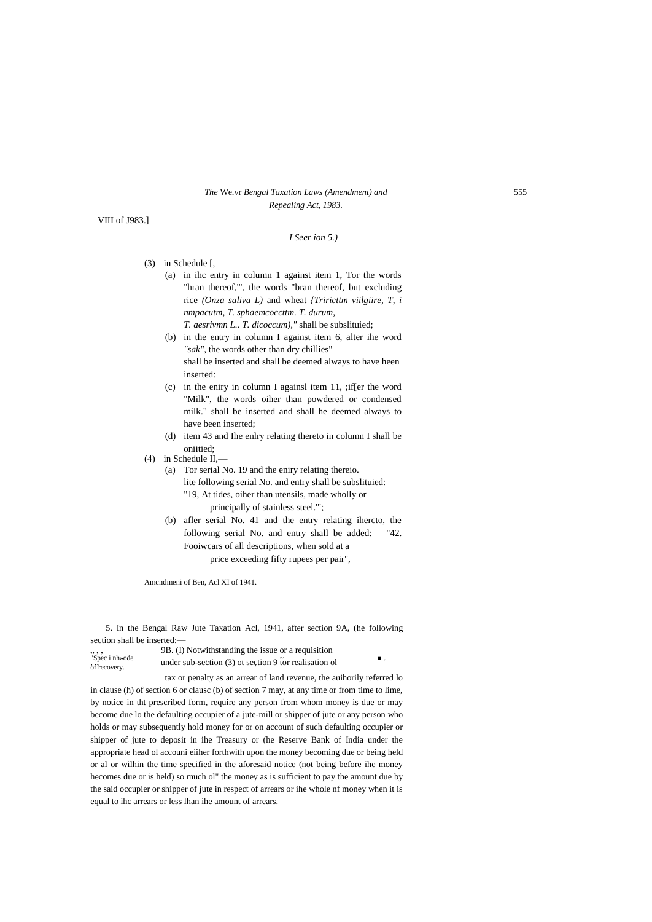## *The* We.vr *Bengal Taxation Laws (Amendment) and* 555 *Repealing Act, 1983.*

VIII of J983.]

## *I Seer ion 5.)*

- (3) in Schedule [,—
	- (a) in ihc entry in column 1 against item 1, Tor the words "hran thereof,'", the words "bran thereof, but excluding rice *(Onza saliva L)* and wheat *{Triricttm viilgiire, T, i nmpacutm, T. sphaemcoccttm. T. durum, T. aesrivmn L.. T. dicoccum),"* shall be subslituied;
	- (b) in the entry in column I against item 6, alter ihe word *"sak",* the words other than dry chillies" shall be inserted and shall be deemed always to have heen inserted:
	- (c) in the eniry in column I againsl item 11, ;if[er the word "Milk", the words oiher than powdered or condensed milk." shall be inserted and shall he deemed always to have been inserted;
	- (d) item 43 and Ihe enlry relating thereto in column I shall be oniitied;
- (4) in Schedule II,—
	- (a) Tor serial No. 19 and the eniry relating thereio. lite following serial No. and entry shall be subslituied:— "19, At tides, oiher than utensils, made wholly or principally of stainless steel.'";
	- (b) afler serial No. 41 and the entry relating ihercto, the following serial No. and entry shall be added:— "42. Fooiwcars of all descriptions, when sold at a price exceeding fifty rupees per pair",

Amcndmeni of Ben, Acl XI of 1941.

5. In the Bengal Raw Jute Taxation Acl, 1941, after section 9A, (he following section shall be inserted:—

 $\frac{9B}{10}$ . (I) Notwithstanding the issue or a requisition  $\frac{9B}{100}$ . "Spec i nh»ode under sub-section (3) ot section 9 for realisation ol  $\blacksquare$ 

tax or penalty as an arrear of land revenue, the auihorily referred lo in clause (h) of section 6 or clausc (b) of section 7 may, at any time or from time to lime, by notice in tht prescribed form, require any person from whom money is due or may become due lo the defaulting occupier of a jute-mill or shipper of jute or any person who holds or may subsequently hold money for or on account of such defaulting occupier or shipper of jute to deposit in ihe Treasury or (he Reserve Bank of India under the appropriate head ol accouni eiiher forthwith upon the money becoming due or being held or al or wilhin the time specified in the aforesaid notice (not being before ihe money hecomes due or is held) so much ol" the money as is sufficient to pay the amount due by the said occupier or shipper of jute in respect of arrears or ihe whole nf money when it is equal to ihc arrears or less lhan ihe amount of arrears.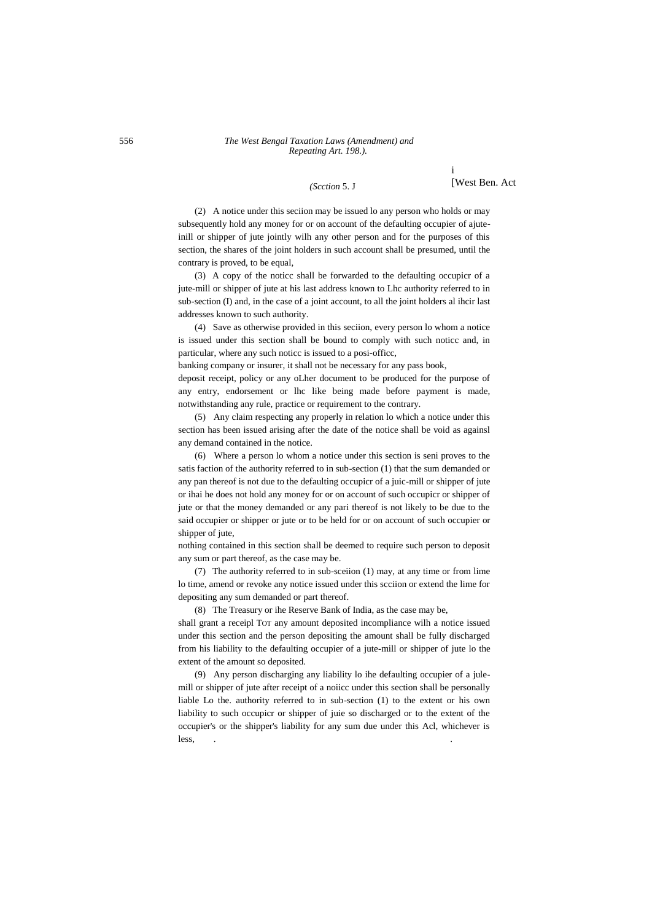#### 556 *The West Bengal Taxation Laws (Amendment) and Repeating Art. 198.).*

#### *(Scction* 5. J

i [West Ben. Act

(2) A notice under this seciion may be issued lo any person who holds or may subsequently hold any money for or on account of the defaulting occupier of ajuteinill or shipper of jute jointly wilh any other person and for the purposes of this section, the shares of the joint holders in such account shall be presumed, until the contrary is proved, to be equal,

(3) A copy of the noticc shall be forwarded to the defaulting occupicr of a jute-mill or shipper of jute at his last address known to Lhc authority referred to in sub-section (I) and, in the case of a joint account, to all the joint holders al ihcir last addresses known to such authority.

(4) Save as otherwise provided in this seciion, every person lo whom a notice is issued under this section shall be bound to comply with such noticc and, in particular, where any such noticc is issued to a posi-officc,

banking company or insurer, it shall not be necessary for any pass book,

deposit receipt, policy or any oLher document to be produced for the purpose of any entry, endorsement or lhc like being made before payment is made, notwithstanding any rule, practice or requirement to the contrary.

(5) Any claim respecting any properly in relation lo which a notice under this section has been issued arising after the date of the notice shall be void as againsl any demand contained in the notice.

(6) Where a person lo whom a notice under this section is seni proves to the satis faction of the authority referred to in sub-section (1) that the sum demanded or any pan thereof is not due to the defaulting occupicr of a juic-mill or shipper of jute or ihai he does not hold any money for or on account of such occupicr or shipper of jute or that the money demanded or any pari thereof is not likely to be due to the said occupier or shipper or jute or to be held for or on account of such occupier or shipper of jute,

nothing contained in this section shall be deemed to require such person to deposit any sum or part thereof, as the case may be.

(7) The authority referred to in sub-sceiion (1) may, at any time or from lime lo time, amend or revoke any notice issued under this scciion or extend the lime for depositing any sum demanded or part thereof.

(8) The Treasury or ihe Reserve Bank of India, as the case may be,

shall grant a receipl TOT any amount deposited incompliance wilh a notice issued under this section and the person depositing the amount shall be fully discharged from his liability to the defaulting occupier of a jute-mill or shipper of jute lo the extent of the amount so deposited.

(9) Any person discharging any liability lo ihe defaulting occupier of a julemill or shipper of jute after receipt of a noiicc under this section shall be personally liable Lo the. authority referred to in sub-section (1) to the extent or his own liability to such occupicr or shipper of juie so discharged or to the extent of the occupier's or the shipper's liability for any sum due under this Acl, whichever is less, the contract of the contract of the contract of the contract of the contract of the contract of the contract of the contract of the contract of the contract of the contract of the contract of the contract of the cont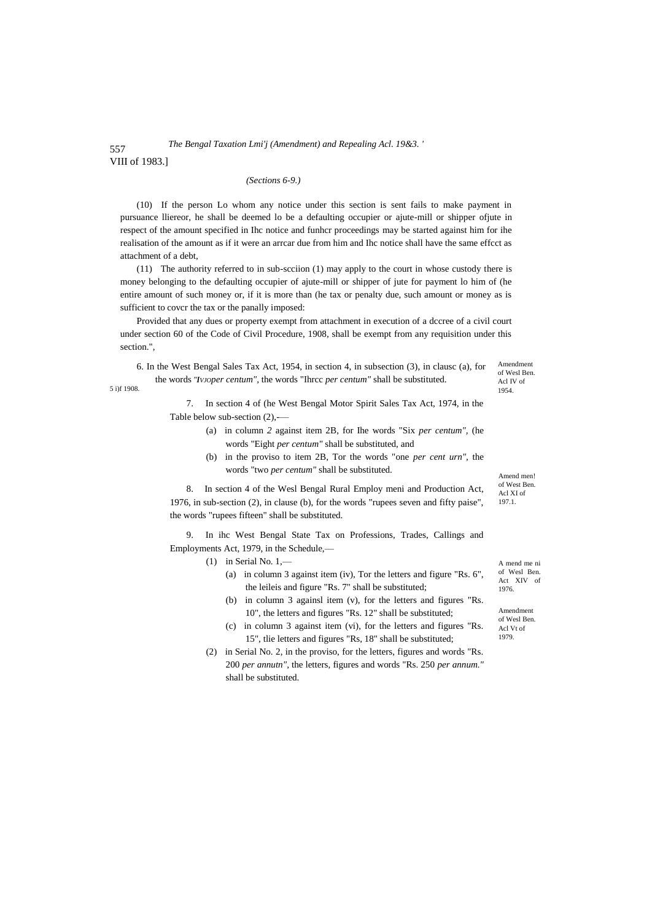#### 557 VIII of 1983.] *The Bengal Taxation Lmi'j (Amendment) and Repealing Acl. 19&3. '*

### *(Sections 6-9.)*

(10) If the person Lo whom any notice under this section is sent fails to make payment in pursuance lliereor, he shall be deemed lo be a defaulting occupier or ajute-mill or shipper ofjute in respect of the amount specified in Ihc notice and funhcr proceedings may be started against him for ihe realisation of the amount as if it were an arrcar due from him and Ihc notice shall have the same effcct as attachment of a debt,

(11) The authority referred to in sub-scciion (1) may apply to the court in whose custody there is money belonging to the defaulting occupier of ajute-mill or shipper of jute for payment lo him of (he entire amount of such money or, if it is more than (he tax or penalty due, such amount or money as is sufficient to covcr the tax or the panally imposed:

Provided that any dues or property exempt from attachment in execution of a dccree of a civil court under section 60 of the Code of Civil Procedure, 1908, shall be exempt from any requisition under this section.",

6. In the West Bengal Sales Tax Act, 1954, in section 4, in subsection (3), in clausc (a), for the words *"IVJOper centum",* the words "Ihrcc *per centum"* shall be substituted.

5 i)f 1908.

Amendment of Wesl Ben. Acl IV of 1954.

Amend men! of West Ben. Acl XI of 197.1.

7. In section 4 of (he West Bengal Motor Spirit Sales Tax Act, 1974, in the Table below sub-section (2),-—

- (a) in column *2* against item 2B, for Ihe words "Six *per centum",* (he words "Eight *per centum"* shall be substituted, and
- (b) in the proviso to item 2B, Tor the words "one *per cent urn",* the words "two *per centum"* shall be substituted.

8. In section 4 of the Wesl Bengal Rural Employ meni and Production Act, 1976, in sub-section (2), in clause (b), for the words "rupees seven and fifty paise", the words "rupees fifteen" shall be substituted.

9. In ihc West Bengal State Tax on Professions, Trades, Callings and Employments Act, 1979, in the Schedule,—

- $(1)$  in Serial No. 1,-
	- (a) in column 3 against item (iv), Tor the letters and figure "Rs. 6", the leileis and figure "Rs. 7" shall be substituted;
	- (b) in column 3 againsl item (v), for the letters and figures "Rs. 10", the letters and figures "Rs. 12" shall be substituted;
	- (c) in column 3 against item (vi), for the letters and figures "Rs. 15", tlie letters and figures "Rs, 18" shall be substituted;
- (2) in Serial No. 2, in the proviso, for the letters, figures and words "Rs. 200 *per annutn",* the letters, figures and words "Rs. 250 *per annum."* shall be substituted.

A mend me ni of Wesl Ben. Act XIV of 1976.

Amendment of Wesl Ben. Acl Vt of 1979.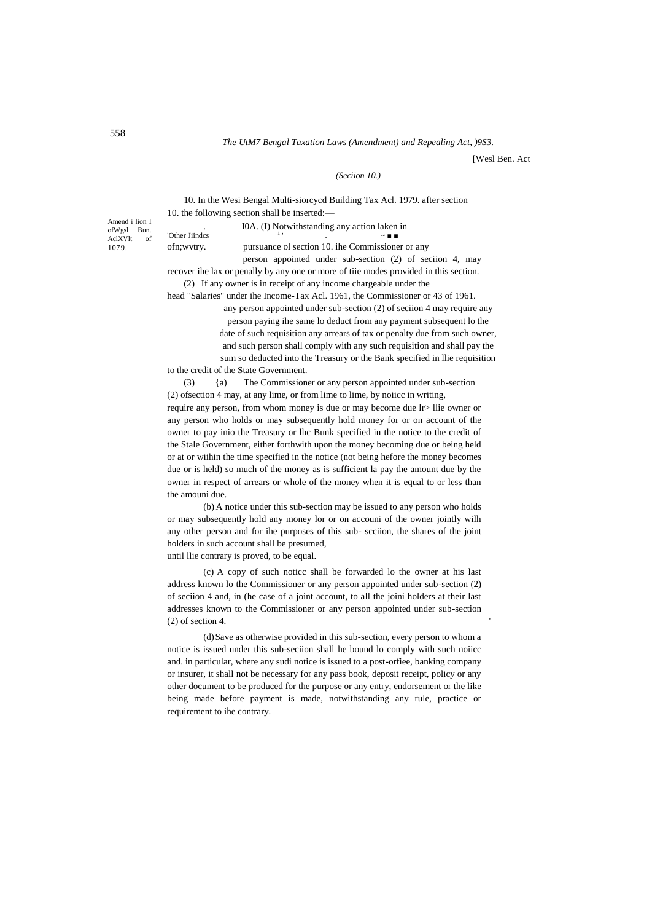## *The UtM7 Bengal Taxation Laws (Amendment) and Repealing Act, )9S3.*

[Wesl Ben. Act

## *(Seciion 10.)*

10. In the Wesi Bengal Multi-siorcycd Building Tax Acl. 1979. after section 10. the following section shall be inserted:—

. I0A. (I) Notwithstanding any action laken in 'Other Lindes

ofWgsl Bun. AclXVlt of 1079.

Amend i lion I

. ~ ■ ■

ofn;wvtry. pursuance ol section 10. ihe Commissioner or any

person appointed under sub-section (2) of seciion 4, may recover ihe lax or penally by any one or more of tiie modes provided in this section. (2) If any owner is in receipt of any income chargeable under the

head "Salaries" under ihe Income-Tax Acl. 1961, the Commissioner or 43 of 1961.

any person appointed under sub-section (2) of seciion 4 may require any person paying ihe same lo deduct from any payment subsequent lo the date of such requisition any arrears of tax or penalty due from such owner, and such person shall comply with any such requisition and shall pay the sum so deducted into the Treasury or the Bank specified in llie requisition to the credit of the State Government.

(3) {a) The Commissioner or any person appointed under sub-section (2) ofsection 4 may, at any lime, or from lime to lime, by noiicc in writing, require any person, from whom money is due or may become due lr> llie owner or any person who holds or may subsequently hold money for or on account of the owner to pay inio the Treasury or lhc Bunk specified in the notice to the credit of the Stale Government, either forthwith upon the money becoming due or being held or at or wiihin the time specified in the notice (not being hefore the money becomes due or is held) so much of the money as is sufficient la pay the amount due by the owner in respect of arrears or whole of the money when it is equal to or less than the amouni due.

(b) A notice under this sub-section may be issued to any person who holds or may subsequently hold any money lor or on accouni of the owner jointly wilh any other person and for ihe purposes of this sub- scciion, the shares of the joint holders in such account shall be presumed,

until llie contrary is proved, to be equal.

(c) A copy of such noticc shall be forwarded lo the owner at his last address known lo the Commissioner or any person appointed under sub-section (2) of seciion 4 and, in (he case of a joint account, to all the joini holders at their last addresses known to the Commissioner or any person appointed under sub-section  $(2)$  of section 4.

(d)Save as otherwise provided in this sub-section, every person to whom a notice is issued under this sub-seciion shall he bound lo comply with such noiicc and. in particular, where any sudi notice is issued to a post-orfiee, banking company or insurer, it shall not be necessary for any pass book, deposit receipt, policy or any other document to be produced for the purpose or any entry, endorsement or the like being made before payment is made, notwithstanding any rule, practice or requirement to ihe contrary.

558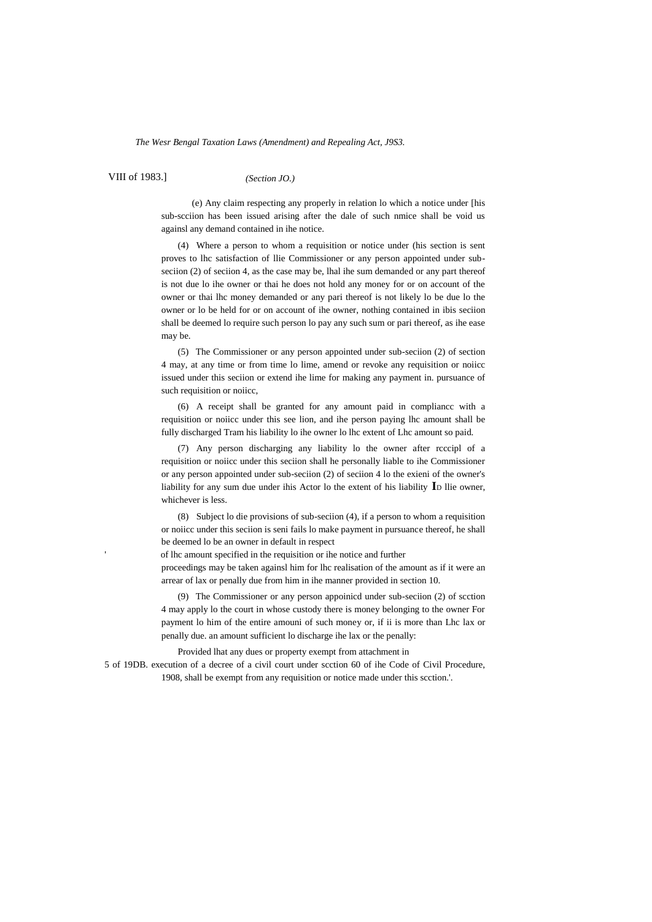*The Wesr Bengal Taxation Laws (Amendment) and Repealing Act, J9S3.*

VIII of 1983.]

*(Section JO.)*

(e) Any claim respecting any properly in relation lo which a notice under [his sub-scciion has been issued arising after the dale of such nmice shall be void us againsl any demand contained in ihe notice.

(4) Where a person to whom a requisition or notice under (his section is sent proves to lhc satisfaction of llie Commissioner or any person appointed under subseciion (2) of seciion 4, as the case may be, lhal ihe sum demanded or any part thereof is not due lo ihe owner or thai he does not hold any money for or on account of the owner or thai lhc money demanded or any pari thereof is not likely lo be due lo the owner or lo be held for or on account of ihe owner, nothing contained in ibis seciion shall be deemed lo require such person lo pay any such sum or pari thereof, as ihe ease may be.

(5) The Commissioner or any person appointed under sub-seciion (2) of section 4 may, at any time or from time lo lime, amend or revoke any requisition or noiicc issued under this seciion or extend ihe lime for making any payment in. pursuance of such requisition or noiicc,

(6) A receipt shall be granted for any amount paid in compliancc with a requisition or noiicc under this see lion, and ihe person paying lhc amount shall be fully discharged Tram his liability lo ihe owner lo lhc extent of Lhc amount so paid.

(7) Any person discharging any liability lo the owner after rcccipl of a requisition or noiicc under this seciion shall he personally liable to ihe Commissioner or any person appointed under sub-seciion (2) of seciion 4 lo the exieni of the owner's liability for any sum due under ihis Actor lo the extent of his liability **I**<sup>D</sup> llie owner, whichever is less.

(8) Subject lo die provisions of sub-seciion (4), if a person to whom a requisition or noiicc under this seciion is seni fails lo make payment in pursuance thereof, he shall be deemed lo be an owner in default in respect

of lhc amount specified in the requisition or ihe notice and further

proceedings may be taken againsl him for lhc realisation of the amount as if it were an arrear of lax or penally due from him in ihe manner provided in section 10.

(9) The Commissioner or any person appoinicd under sub-seciion (2) of scction 4 may apply lo the court in whose custody there is money belonging to the owner For payment lo him of the entire amouni of such money or, if ii is more than Lhc lax or penally due. an amount sufficient lo discharge ihe lax or the penally:

Provided lhat any dues or property exempt from attachment in

5 of 19DB. execution of a decree of a civil court under scction 60 of ihe Code of Civil Procedure, 1908, shall be exempt from any requisition or notice made under this scction.'.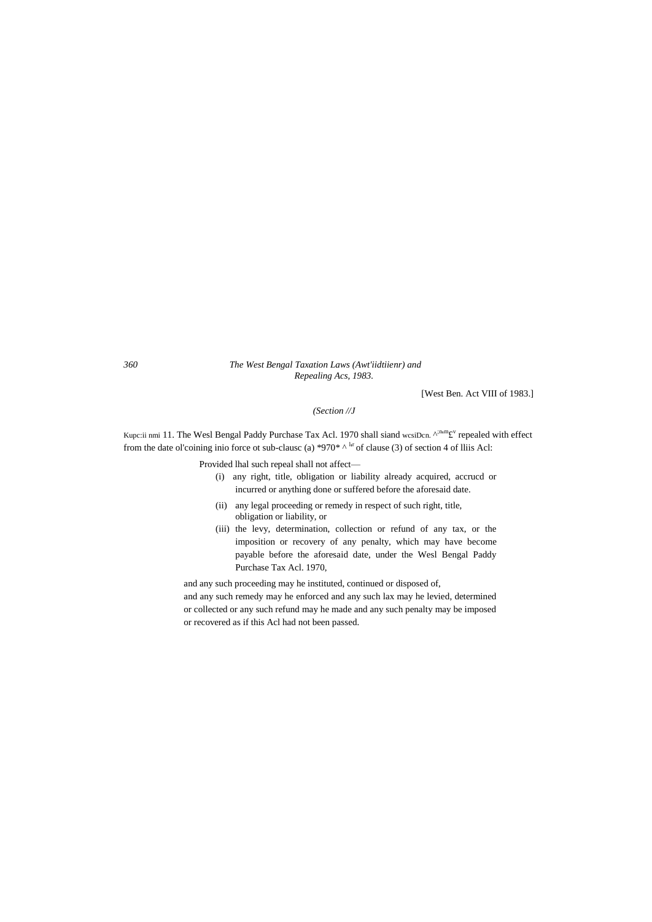## *360 The West Bengal Taxation Laws (Awt'iidtiienr) and Repealing Acs, 1983.*

[West Ben. Act VIII of 1983.]

*(Section //J*

Kupc:ii nmi 11. The Wesl Bengal Paddy Purchase Tax Acl. 1970 shall siand wesiDen.  $A^{inm}E^V$  repealed with effect from the date ol'coining inio force ot sub-clause (a) \*970\*  $\wedge$  l<sup>ir</sup> of clause (3) of section 4 of lliis Acl:

Provided lhal such repeal shall not affect—

- (i) any right, title, obligation or liability already acquired, accrucd or incurred or anything done or suffered before the aforesaid date.
- (ii) any legal proceeding or remedy in respect of such right, title, obligation or liability, or
- (iii) the levy, determination, collection or refund of any tax, or the imposition or recovery of any penalty, which may have become payable before the aforesaid date, under the Wesl Bengal Paddy Purchase Tax Acl. 1970,

and any such proceeding may he instituted, continued or disposed of, and any such remedy may he enforced and any such lax may he levied, determined or collected or any such refund may he made and any such penalty may be imposed or recovered as if this Acl had not been passed.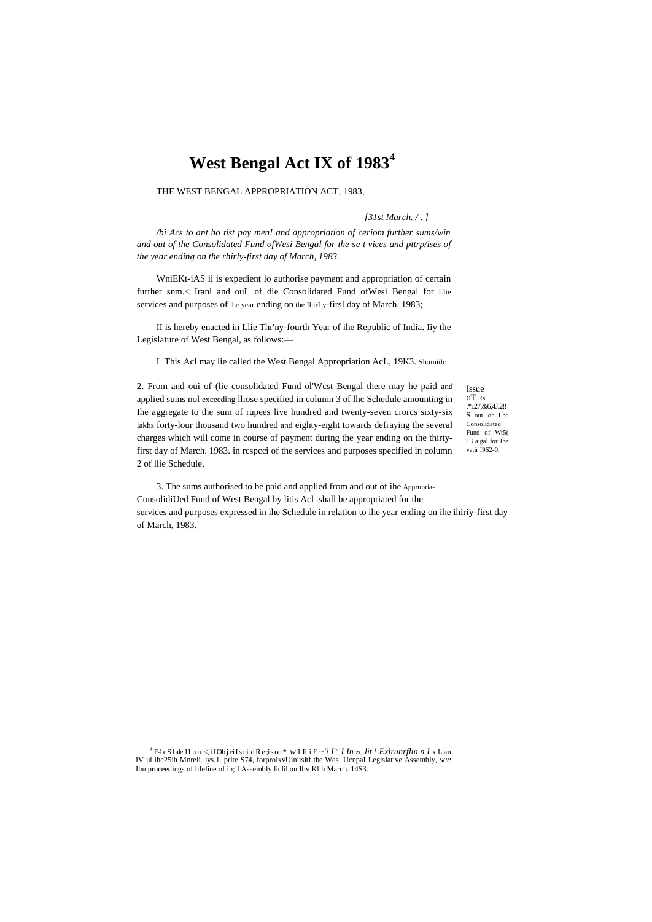# West Bengal Act IX of 1983<sup>4</sup>

THE WEST BENGAL APPROPRIATION ACT, 1983.

#### [ $31st March. / .$ ]

/bi Acs to ant ho tist pay men! and appropriation of ceriom further sums/win and out of the Consolidated Fund of Wesi Bengal for the se t vices and pttrp/ises of the year ending on the rhirly-first day of March, 1983.

WniEKt-iAS ii is expedient lo authorise payment and appropriation of certain further snm.< Irani and ouL of die Consolidated Fund of Wesi Bengal for Llie services and purposes of the year ending on the IhirLy-firsl day of March. 1983;

II is hereby enacted in Llie Thr'ny-fourth Year of ihe Republic of India. Iiy the Legislature of West Bengal, as follows:-

L This Acl may lie called the West Bengal Appropriation AcL, 19K3. Shomiilc

2. From and oui of (lie consolidated Fund ol'West Bengal there may he paid and applied sums nol exceeding lliose specified in column 3 of lhc Schedule amounting in Ihe aggregate to the sum of rupees live hundred and twenty-seven crorcs sixty-six lakhs forty-lour thousand two hundred and eighty-eight towards defraying the several charges which will come in course of payment during the year ending on the thirtyfirst day of March. 1983. in respeci of the services and purposes specified in column 2 of llie Schedule,

Issue  $nTRs$ S out or Lho Consolidated Fund of Wt5(  $13$  aigal for  $I$ he  $ve:ir$  1982-0.

3. The sums authorised to be paid and applied from and out of ihe Apprupria-ConsolidiUed Fund of West Bengal by litis Acl .shall be appropriated for the services and purposes expressed in ihe Schedule in relation to ihe year ending on ihe ihiriy-first day of March, 1983.

<sup>&</sup>lt;sup>4</sup> F-'or S lale 11 unt <, if Ob jei I s nil d R e ; i s on \*. W I Ii i £ ~'i I' In zc lit \ Extrumptin n I x L'an IV ul ihc25ih Mnreli. iys.1. prite S74, forproixvUiniisiif the Wesl UcnpaI Legislative Assembly, see Ihu proceedings of lifeline of ih;il Assembly liclil on Ibv Kllh March. 14S3.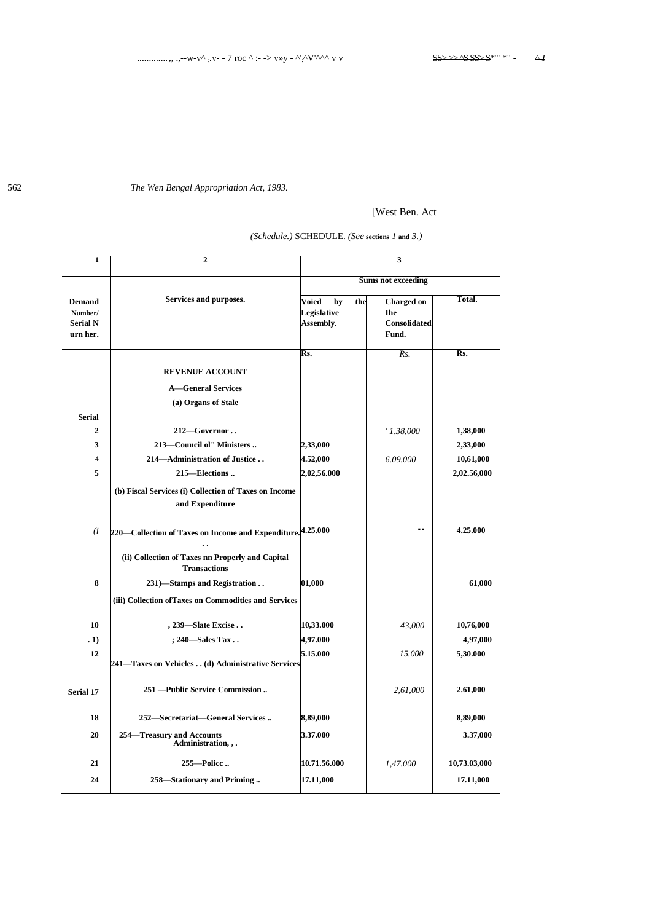The Wen Bengal Appropriation Act, 1983.

# [West Ben. Act

| (Schedule.) SCHEDULE. (See sections 1 and 3.) |  |  |  |
|-----------------------------------------------|--|--|--|
|-----------------------------------------------|--|--|--|

| 1                                                       | 2                                                                        |                                                | 3                                                        |              |
|---------------------------------------------------------|--------------------------------------------------------------------------|------------------------------------------------|----------------------------------------------------------|--------------|
|                                                         |                                                                          |                                                |                                                          |              |
|                                                         |                                                                          |                                                | <b>Sums not exceeding</b>                                |              |
| <b>Demand</b><br>Number/<br><b>Serial N</b><br>urn her. | Services and purposes.                                                   | Voied<br>by<br>the<br>Legislative<br>Assembly. | <b>Charged on</b><br><b>Ihe</b><br>Consolidated<br>Fund. | Total.       |
|                                                         |                                                                          | Rs.                                            | Rs.                                                      | Rs.          |
|                                                         | <b>REVENUE ACCOUNT</b>                                                   |                                                |                                                          |              |
|                                                         | <b>A</b> —General Services                                               |                                                |                                                          |              |
|                                                         | (a) Organs of Stale                                                      |                                                |                                                          |              |
| <b>Serial</b>                                           |                                                                          |                                                |                                                          |              |
| $\overline{2}$                                          | 212-Governor                                                             |                                                | '1,38,000                                                | 1,38,000     |
| 3                                                       | 213-Council ol" Ministers                                                | 2,33,000                                       |                                                          | 2,33,000     |
| 4                                                       | 214-Administration of Justice                                            | 4.52,000                                       | 6.09.000                                                 | 10,61,000    |
| 5                                                       | 215–Elections                                                            | 2,02,56.000                                    |                                                          | 2,02.56,000  |
|                                                         | (b) Fiscal Services (i) Collection of Taxes on Income<br>and Expenditure |                                                |                                                          |              |
| (i)                                                     | 220 Collection of Taxes on Income and Expenditure. 4.25.000              |                                                |                                                          | 4.25.000     |
|                                                         | (ii) Collection of Taxes nn Properly and Capital<br><b>Transactions</b>  |                                                |                                                          |              |
| 8                                                       | 231)-Stamps and Registration                                             | 01,000                                         |                                                          | 61,000       |
|                                                         | (iii) Collection of Taxes on Commodities and Services                    |                                                |                                                          |              |
| 10                                                      | , 239-Slate Excise                                                       | 10,33.000                                      | 43,000                                                   | 10,76,000    |
| .1)                                                     | ; 240-Sales Tax                                                          | 4,97.000                                       |                                                          | 4,97,000     |
| 12                                                      | 241—Taxes on Vehicles (d) Administrative Services                        | 5.15.000                                       | 15.000                                                   | 5,30.000     |
| Serial 17                                               | 251 - Public Service Commission                                          |                                                | 2,61,000                                                 | 2.61,000     |
| 18                                                      | 252-Secretariat-General Services                                         | 8,89,000                                       |                                                          | 8,89,000     |
| 20                                                      | 254-Treasury and Accounts<br>Administration, , .                         | 3.37.000                                       |                                                          | 3.37,000     |
| 21                                                      | 255-Police                                                               | 10.71.56.000                                   | 1,47.000                                                 | 10,73.03,000 |
| 24                                                      | 258-Stationary and Priming                                               | 17.11,000                                      |                                                          | 17.11,000    |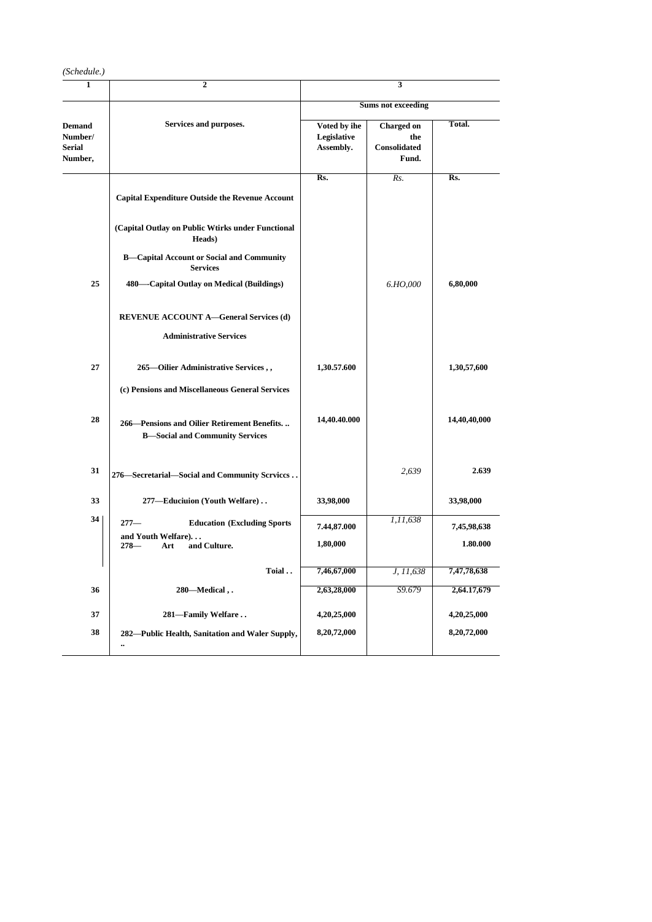| (Schedule.)                                          |                                                                                       |                                          |                                                          |                          |  |  |  |  |
|------------------------------------------------------|---------------------------------------------------------------------------------------|------------------------------------------|----------------------------------------------------------|--------------------------|--|--|--|--|
| 1                                                    | $\overline{2}$                                                                        |                                          | 3                                                        |                          |  |  |  |  |
|                                                      |                                                                                       | <b>Sums not exceeding</b>                |                                                          |                          |  |  |  |  |
| <b>Demand</b><br>Number/<br><b>Serial</b><br>Number, | Services and purposes.                                                                | Voted by ihe<br>Legislative<br>Assembly. | <b>Charged on</b><br>the<br><b>Consolidated</b><br>Fund. | Total.                   |  |  |  |  |
|                                                      |                                                                                       | Rs.                                      | Rs.                                                      | $\overline{\text{Rs}}$ . |  |  |  |  |
|                                                      | <b>Capital Expenditure Outside the Revenue Account</b>                                |                                          |                                                          |                          |  |  |  |  |
|                                                      | (Capital Outlay on Public Wtirks under Functional<br>Heads)                           |                                          |                                                          |                          |  |  |  |  |
|                                                      | <b>B-Capital Account or Social and Community</b><br><b>Services</b>                   |                                          |                                                          |                          |  |  |  |  |
| 25                                                   | 480—Capital Outlay on Medical (Buildings)                                             |                                          | 6.HO,000                                                 | 6,80,000                 |  |  |  |  |
|                                                      | <b>REVENUE ACCOUNT A-General Services (d)</b>                                         |                                          |                                                          |                          |  |  |  |  |
|                                                      | <b>Administrative Services</b>                                                        |                                          |                                                          |                          |  |  |  |  |
| 27                                                   | 265—Oilier Administrative Services,,                                                  | 1,30.57.600                              |                                                          | 1,30,57,600              |  |  |  |  |
|                                                      | (c) Pensions and Miscellaneous General Services                                       |                                          |                                                          |                          |  |  |  |  |
| 28                                                   | 266–Pensions and Oilier Retirement Benefits<br><b>B-Social and Community Services</b> | 14,40.40.000                             |                                                          | 14,40,40,000             |  |  |  |  |
| 31                                                   | 276-Secretarial-Social and Community Scrvices                                         |                                          | 2,639                                                    | 2.639                    |  |  |  |  |
| 33                                                   | 277-Educiuion (Youth Welfare)                                                         | 33,98,000                                |                                                          | 33,98,000                |  |  |  |  |
| 34                                                   | $277-$<br><b>Education (Excluding Sports)</b>                                         | 7.44,87.000                              | 1,11,638                                                 | 7,45,98,638              |  |  |  |  |
|                                                      | and Youth Welfare)<br>and Culture.<br>$278-$<br>Art                                   | 1,80,000                                 |                                                          | 1.80.000                 |  |  |  |  |
|                                                      | Toial                                                                                 | 7,46,67,000                              | J, 11,638                                                | 7,47,78,638              |  |  |  |  |
| 36                                                   | 280-Medical,.                                                                         | 2,63,28,000                              | S9.679                                                   | 2,64.17,679              |  |  |  |  |
| 37                                                   | 281-Family Welfare                                                                    | 4,20,25,000                              |                                                          | 4,20,25,000              |  |  |  |  |
| 38                                                   | 282—Public Health, Sanitation and Waler Supply,<br>$\ddotsc$                          | 8,20,72,000                              |                                                          | 8,20,72,000              |  |  |  |  |
|                                                      |                                                                                       |                                          |                                                          |                          |  |  |  |  |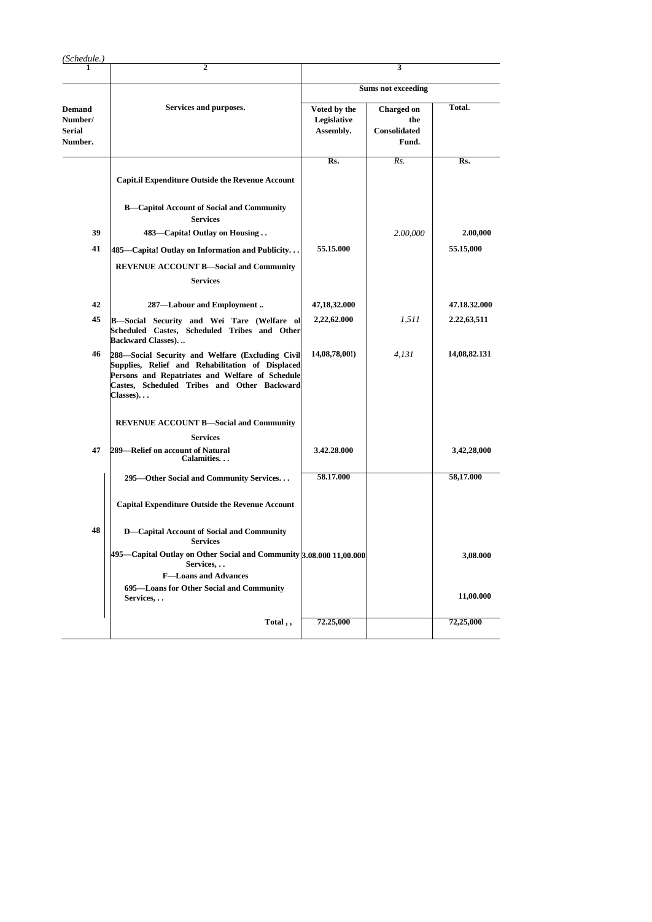| (Schedule.)                                          |                                                                                                                                                                                                                    |                                          |                                                          |              |  |  |  |  |
|------------------------------------------------------|--------------------------------------------------------------------------------------------------------------------------------------------------------------------------------------------------------------------|------------------------------------------|----------------------------------------------------------|--------------|--|--|--|--|
|                                                      | $\overline{2}$                                                                                                                                                                                                     |                                          | 3                                                        |              |  |  |  |  |
|                                                      |                                                                                                                                                                                                                    | <b>Sums not exceeding</b>                |                                                          |              |  |  |  |  |
| <b>Demand</b><br>Number/<br><b>Serial</b><br>Number. | Services and purposes.                                                                                                                                                                                             | Voted by the<br>Legislative<br>Assembly. | <b>Charged on</b><br>the<br><b>Consolidated</b><br>Fund. | Total.       |  |  |  |  |
|                                                      | <b>Capit.il Expenditure Outside the Revenue Account</b>                                                                                                                                                            | Rs.                                      | Rs.                                                      | Rs.          |  |  |  |  |
|                                                      |                                                                                                                                                                                                                    |                                          |                                                          |              |  |  |  |  |
|                                                      | <b>B-Capitol Account of Social and Community</b><br><b>Services</b>                                                                                                                                                |                                          |                                                          |              |  |  |  |  |
| 39                                                   | 483—Capita! Outlay on Housing                                                                                                                                                                                      |                                          | 2.00,000                                                 | 2.00,000     |  |  |  |  |
| 41                                                   | 485—Capita! Outlay on Information and Publicity.                                                                                                                                                                   | 55.15.000                                |                                                          | 55.15,000    |  |  |  |  |
|                                                      | <b>REVENUE ACCOUNT B-Social and Community</b>                                                                                                                                                                      |                                          |                                                          |              |  |  |  |  |
|                                                      | <b>Services</b>                                                                                                                                                                                                    |                                          |                                                          |              |  |  |  |  |
| 42                                                   | 287-Labour and Employment                                                                                                                                                                                          | 47,18,32.000                             |                                                          | 47.18.32.000 |  |  |  |  |
| 45                                                   | B-Social Security and Wei Tare (Welfare ol<br>Scheduled Castes, Scheduled Tribes and Other<br><b>Backward Classes)</b>                                                                                             | 2,22,62.000                              | 1,511                                                    | 2.22,63,511  |  |  |  |  |
| 46                                                   | 288-Social Security and Welfare (Excluding Civil<br>Supplies, Relief and Rehabilitation of Displaced<br>Persons and Repatriates and Welfare of Schedule<br>Castes, Scheduled Tribes and Other Backward<br>Classes) | 14,08,78,00!)                            | 4,131                                                    | 14,08,82.131 |  |  |  |  |
|                                                      | <b>REVENUE ACCOUNT B-Social and Community</b>                                                                                                                                                                      |                                          |                                                          |              |  |  |  |  |
|                                                      | <b>Services</b>                                                                                                                                                                                                    |                                          |                                                          |              |  |  |  |  |
| 47                                                   | 289—Relief on account of Natural<br>Calamities                                                                                                                                                                     | 3.42.28.000                              |                                                          | 3,42,28,000  |  |  |  |  |
|                                                      | 295—Other Social and Community Services                                                                                                                                                                            | 58.17.000                                |                                                          | 58,17.000    |  |  |  |  |
|                                                      | <b>Capital Expenditure Outside the Revenue Account</b>                                                                                                                                                             |                                          |                                                          |              |  |  |  |  |
| 48                                                   | D-Capital Account of Social and Community<br><b>Services</b>                                                                                                                                                       |                                          |                                                          |              |  |  |  |  |
|                                                      | 495-Capital Outlay on Other Social and Community 3.08.000 11,00.000<br>Services,                                                                                                                                   |                                          |                                                          | 3,08.000     |  |  |  |  |
|                                                      | <b>F-Loans and Advances</b>                                                                                                                                                                                        |                                          |                                                          |              |  |  |  |  |
|                                                      | 695-Loans for Other Social and Community<br>Services,                                                                                                                                                              |                                          |                                                          | 11,00.000    |  |  |  |  |
|                                                      | Total,                                                                                                                                                                                                             | 72.25,000                                |                                                          | 72,25,000    |  |  |  |  |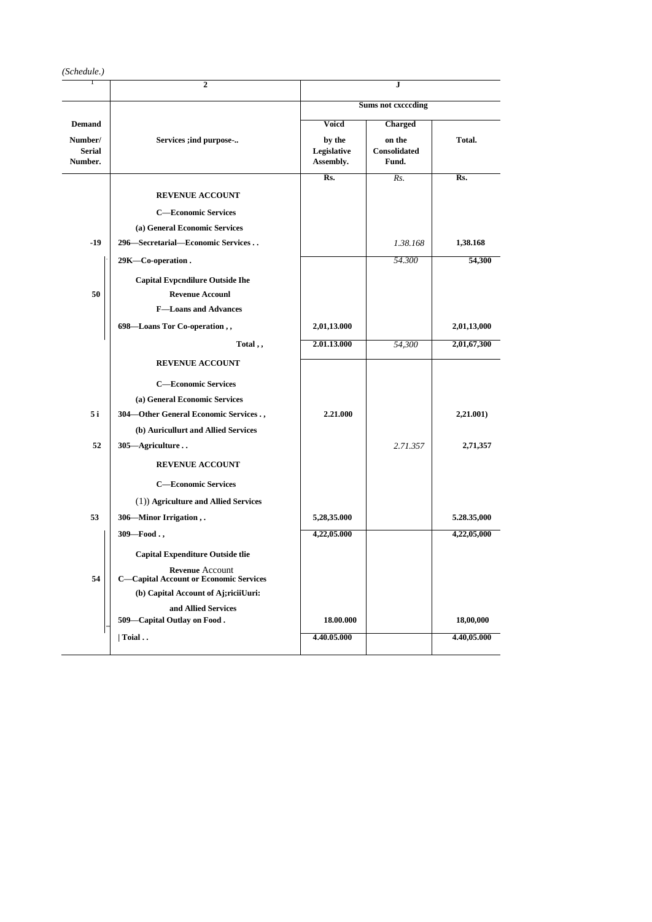|                                     | $\overline{2}$                                                          |                                    | J                                      |             |  |  |  |  |
|-------------------------------------|-------------------------------------------------------------------------|------------------------------------|----------------------------------------|-------------|--|--|--|--|
|                                     |                                                                         | <b>Sums not exceeding</b>          |                                        |             |  |  |  |  |
| <b>Demand</b>                       |                                                                         | Voicd                              | <b>Charged</b>                         |             |  |  |  |  |
| Number/<br><b>Serial</b><br>Number. | Services ;ind purpose-                                                  | by the<br>Legislative<br>Assembly. | on the<br><b>Consolidated</b><br>Fund. | Total.      |  |  |  |  |
|                                     |                                                                         | Rs.                                | Rs.                                    | Rs.         |  |  |  |  |
|                                     | <b>REVENUE ACCOUNT</b>                                                  |                                    |                                        |             |  |  |  |  |
|                                     | <b>C-Economic Services</b>                                              |                                    |                                        |             |  |  |  |  |
|                                     | (a) General Economic Services                                           |                                    |                                        |             |  |  |  |  |
| $-19$                               | 296—Secretarial—Economic Services                                       |                                    | 1.38.168                               | 1,38.168    |  |  |  |  |
|                                     | 29K-Co-operation.                                                       |                                    | 54.300                                 | 54,300      |  |  |  |  |
|                                     | <b>Capital Evpcndilure Outside Ihe</b>                                  |                                    |                                        |             |  |  |  |  |
| 50                                  | <b>Revenue Accounl</b>                                                  |                                    |                                        |             |  |  |  |  |
|                                     | <b>F-Loans and Advances</b>                                             |                                    |                                        |             |  |  |  |  |
|                                     | 698-Loans Tor Co-operation,,                                            | 2,01,13.000                        |                                        | 2,01,13,000 |  |  |  |  |
|                                     | Total,,                                                                 | 2.01.13.000                        | 54,300                                 | 2,01,67,300 |  |  |  |  |
|                                     | <b>REVENUE ACCOUNT</b>                                                  |                                    |                                        |             |  |  |  |  |
|                                     | <b>C-Economic Services</b>                                              |                                    |                                        |             |  |  |  |  |
|                                     | (a) General Economic Services                                           |                                    |                                        |             |  |  |  |  |
| 5 i                                 | 304-Other General Economic Services.,                                   | 2.21.000                           |                                        | 2,21.001)   |  |  |  |  |
|                                     | (b) Auricullurt and Allied Services                                     |                                    |                                        |             |  |  |  |  |
| 52                                  | 305-Agriculture                                                         |                                    | 2.71.357                               | 2,71,357    |  |  |  |  |
|                                     | <b>REVENUE ACCOUNT</b>                                                  |                                    |                                        |             |  |  |  |  |
|                                     | <b>C-Economic Services</b>                                              |                                    |                                        |             |  |  |  |  |
|                                     | (1)) Agriculture and Allied Services                                    |                                    |                                        |             |  |  |  |  |
| 53                                  | 306—Minor Irrigation,.                                                  | 5,28,35.000                        |                                        | 5.28.35,000 |  |  |  |  |
|                                     | $309 - Food.$ ,                                                         | 4,22,05.000                        |                                        | 4,22,05,000 |  |  |  |  |
|                                     |                                                                         |                                    |                                        |             |  |  |  |  |
|                                     | <b>Capital Expenditure Outside tlie</b>                                 |                                    |                                        |             |  |  |  |  |
| 54                                  | <b>Revenue Account</b><br><b>C-Capital Account or Economic Services</b> |                                    |                                        |             |  |  |  |  |
|                                     | (b) Capital Account of Aj;riciiUuri:                                    |                                    |                                        |             |  |  |  |  |
|                                     | and Allied Services                                                     |                                    |                                        |             |  |  |  |  |
|                                     | 509-Capital Outlay on Food.                                             | 18.00.000                          |                                        | 18,00,000   |  |  |  |  |
|                                     | $\vert$ Toial                                                           | 4.40.05.000                        |                                        | 4.40,05.000 |  |  |  |  |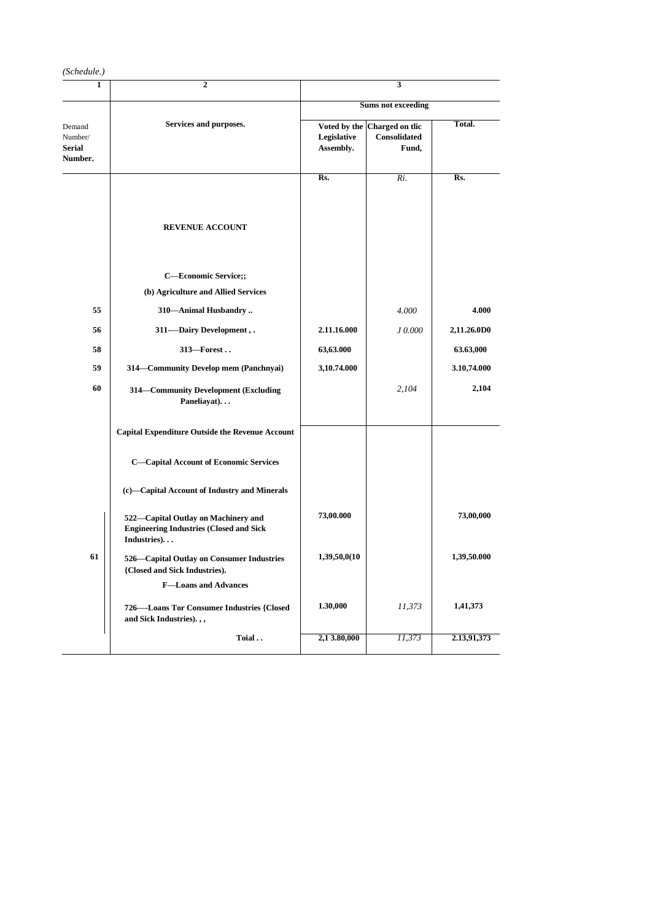| (Schedule.)                                   |                                                                                                      |                           |                                                       |             |  |  |  |  |
|-----------------------------------------------|------------------------------------------------------------------------------------------------------|---------------------------|-------------------------------------------------------|-------------|--|--|--|--|
| 1                                             | 2                                                                                                    |                           | 3                                                     |             |  |  |  |  |
|                                               |                                                                                                      | <b>Sums not exceeding</b> |                                                       |             |  |  |  |  |
| Demand<br>Number/<br><b>Serial</b><br>Number. | Services and purposes.                                                                               | Legislative<br>Assembly.  | Voted by the Charged on tlic<br>Consolidated<br>Fund, | Total.      |  |  |  |  |
|                                               |                                                                                                      | Rs.                       | $Ri$ .                                                | Rs.         |  |  |  |  |
|                                               | <b>REVENUE ACCOUNT</b>                                                                               |                           |                                                       |             |  |  |  |  |
|                                               | C-Economic Service;;<br>(b) Agriculture and Allied Services                                          |                           |                                                       |             |  |  |  |  |
| 55                                            | 310-Animal Husbandry                                                                                 |                           | 4.000                                                 | 4.000       |  |  |  |  |
| 56                                            | 311-Dairy Development,.                                                                              | 2.11.16.000               | J 0.000                                               | 2,11.26.0D0 |  |  |  |  |
| 58                                            | 313-Forest                                                                                           | 63,63.000                 |                                                       | 63.63,000   |  |  |  |  |
| 59                                            | 314 Community Develop mem (Panchnyai)                                                                | 3,10.74.000               |                                                       | 3.10,74.000 |  |  |  |  |
| 60                                            | 314-Community Development (Excluding<br>Paneliayat)                                                  |                           | 2,104                                                 | 2,104       |  |  |  |  |
|                                               | <b>Capital Expenditure Outside the Revenue Account</b>                                               |                           |                                                       |             |  |  |  |  |
|                                               | <b>C-Capital Account of Economic Services</b>                                                        |                           |                                                       |             |  |  |  |  |
|                                               | (c)-Capital Account of Industry and Minerals                                                         |                           |                                                       |             |  |  |  |  |
|                                               | 522-Capital Outlay on Machinery and<br><b>Engineering Industries (Closed and Sick</b><br>Industries) | 73,00.000                 |                                                       | 73,00,000   |  |  |  |  |
| 61                                            | 526—Capital Outlay on Consumer Industries<br>{Closed and Sick Industries).                           | 1,39,50,0(10              |                                                       | 1,39,50.000 |  |  |  |  |
|                                               | <b>F-Loans and Advances</b>                                                                          |                           |                                                       |             |  |  |  |  |
|                                               | 726—-Loans Tor Consumer Industries {Closed<br>and Sick Industries).,,                                | 1.30,000                  | 11,373                                                | 1,41,373    |  |  |  |  |
|                                               | Toial                                                                                                | 2,13.80,000               | 11,373                                                | 2.13,91,373 |  |  |  |  |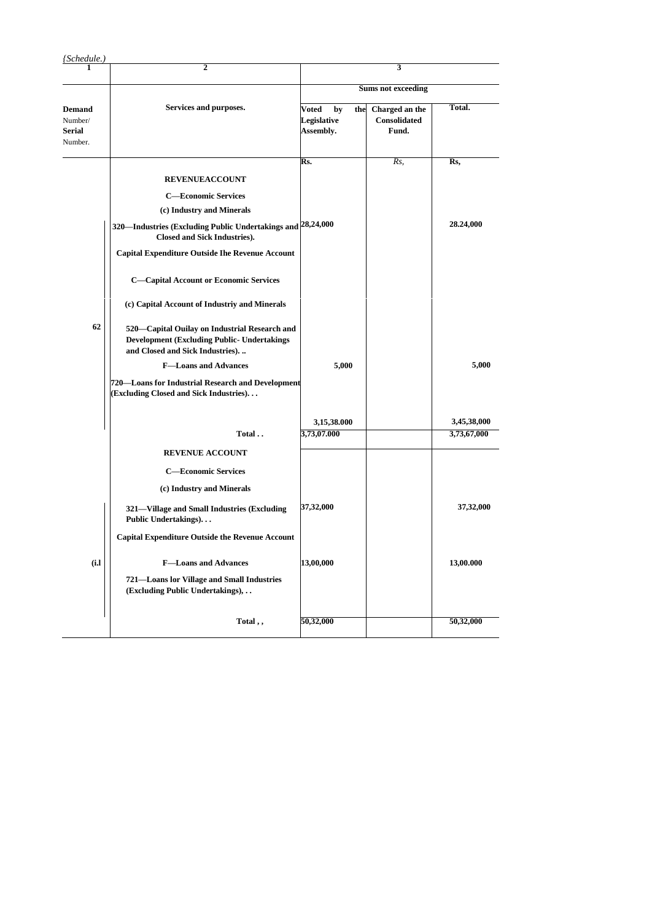| (Schedule.)                                   |                                                                                                                                          |                                                |                                         |             |  |  |  |  |
|-----------------------------------------------|------------------------------------------------------------------------------------------------------------------------------------------|------------------------------------------------|-----------------------------------------|-------------|--|--|--|--|
|                                               | $\mathbf{2}$                                                                                                                             |                                                | 3                                       |             |  |  |  |  |
|                                               |                                                                                                                                          | <b>Sums not exceeding</b>                      |                                         |             |  |  |  |  |
| <b>Demand</b><br>Number/<br>Serial<br>Number. | Services and purposes.                                                                                                                   | Voted<br>by<br>the<br>Legislative<br>Assembly. | Charged an the<br>Consolidated<br>Fund. | Total.      |  |  |  |  |
|                                               |                                                                                                                                          | Rs.                                            | Rs,                                     | Rs,         |  |  |  |  |
|                                               | <b>REVENUEACCOUNT</b>                                                                                                                    |                                                |                                         |             |  |  |  |  |
|                                               | <b>C-Economic Services</b>                                                                                                               |                                                |                                         |             |  |  |  |  |
|                                               | (c) Industry and Minerals                                                                                                                |                                                |                                         |             |  |  |  |  |
|                                               | 320—Industries (Excluding Public Undertakings and 28,24,000<br><b>Closed and Sick Industries).</b>                                       |                                                |                                         | 28.24,000   |  |  |  |  |
|                                               | <b>Capital Expenditure Outside Ihe Revenue Account</b>                                                                                   |                                                |                                         |             |  |  |  |  |
|                                               | <b>C-Capital Account or Economic Services</b>                                                                                            |                                                |                                         |             |  |  |  |  |
|                                               | (c) Capital Account of Industriy and Minerals                                                                                            |                                                |                                         |             |  |  |  |  |
| 62                                            | 520—Capital Ouilay on Industrial Research and<br><b>Development (Excluding Public- Undertakings)</b><br>and Closed and Sick Industries). |                                                |                                         |             |  |  |  |  |
|                                               | <b>F-Loans and Advances</b>                                                                                                              | 5,000                                          |                                         | 5,000       |  |  |  |  |
|                                               | 720—Loans for Industrial Research and Development<br>(Excluding Closed and Sick Industries)                                              |                                                |                                         |             |  |  |  |  |
|                                               |                                                                                                                                          | 3,15,38.000                                    |                                         | 3,45,38,000 |  |  |  |  |
|                                               | Total                                                                                                                                    | 3,73,07.000                                    |                                         | 3,73,67,000 |  |  |  |  |
|                                               | <b>REVENUE ACCOUNT</b>                                                                                                                   |                                                |                                         |             |  |  |  |  |
|                                               | <b>C-Economic Services</b>                                                                                                               |                                                |                                         |             |  |  |  |  |
|                                               | (c) Industry and Minerals                                                                                                                |                                                |                                         |             |  |  |  |  |
|                                               | 321-Village and Small Industries (Excluding<br>Public Undertakings)                                                                      | 37,32,000                                      |                                         | 37,32,000   |  |  |  |  |
|                                               | <b>Capital Expenditure Outside the Revenue Account</b>                                                                                   |                                                |                                         |             |  |  |  |  |
| (i.l)                                         | <b>F-Loans and Advances</b>                                                                                                              | 13,00,000                                      |                                         | 13,00.000   |  |  |  |  |
|                                               | 721-Loans lor Village and Small Industries<br>(Excluding Public Undertakings),                                                           |                                                |                                         |             |  |  |  |  |
|                                               | Total,,                                                                                                                                  | 50,32,000                                      |                                         | 50,32,000   |  |  |  |  |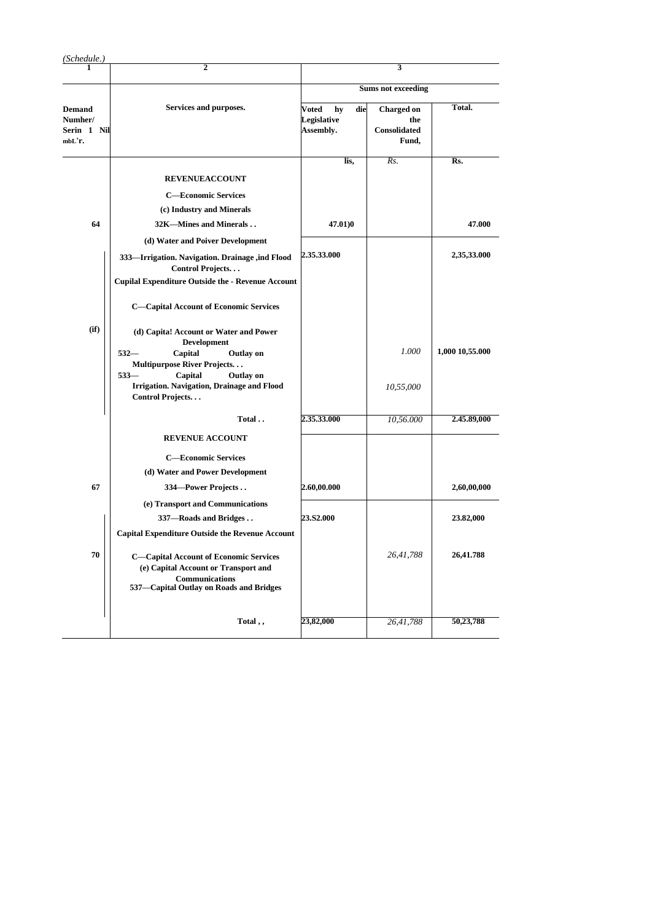| (Schedule.)                                       | $\overline{2}$                                                                                                                                                                |                                                | 3                                                        |                 |
|---------------------------------------------------|-------------------------------------------------------------------------------------------------------------------------------------------------------------------------------|------------------------------------------------|----------------------------------------------------------|-----------------|
|                                                   |                                                                                                                                                                               |                                                |                                                          |                 |
|                                                   |                                                                                                                                                                               |                                                | <b>Sums not exceeding</b>                                |                 |
| <b>Demand</b><br>Numher/<br>Serin 1 Nil<br>mbL'r. | Services and purposes.                                                                                                                                                        | die<br>Voted<br>hy<br>Legislative<br>Assembly. | <b>Charged</b> on<br>the<br><b>Consolidated</b><br>Fund, | Total.          |
|                                                   |                                                                                                                                                                               | lis,                                           | Rs.                                                      | Rs.             |
|                                                   | <b>REVENUEACCOUNT</b>                                                                                                                                                         |                                                |                                                          |                 |
|                                                   | <b>C-Economic Services</b>                                                                                                                                                    |                                                |                                                          |                 |
|                                                   | (c) Industry and Minerals                                                                                                                                                     |                                                |                                                          |                 |
| 64                                                | 32K-Mines and Minerals                                                                                                                                                        | 47.01)0                                        |                                                          | 47.000          |
|                                                   | (d) Water and Poiver Development                                                                                                                                              |                                                |                                                          |                 |
|                                                   | 333-Irrigation. Navigation. Drainage ,ind Flood<br>Control Projects<br><b>Cupilal Expenditure Outside the - Revenue Account</b>                                               | 2.35.33.000                                    |                                                          | 2,35,33.000     |
|                                                   | <b>C-Capital Account of Economic Services</b>                                                                                                                                 |                                                |                                                          |                 |
| (i <sub>f</sub> )                                 | (d) Capita! Account or Water and Power<br><b>Development</b><br>$532-$<br>Capital<br><b>Outlay on</b><br>Multipurpose River Projects<br>$533-$<br>Capital<br><b>Outlay on</b> |                                                | 1.000                                                    | 1,000 10,55.000 |
|                                                   | Irrigation. Navigation, Drainage and Flood<br>Control Projects                                                                                                                |                                                | 10,55,000                                                |                 |
|                                                   | Total                                                                                                                                                                         | 2.35.33.000                                    | 10,56.000                                                | 2.45.89,000     |
|                                                   | <b>REVENUE ACCOUNT</b>                                                                                                                                                        |                                                |                                                          |                 |
|                                                   | <b>C-Economic Services</b>                                                                                                                                                    |                                                |                                                          |                 |
|                                                   | (d) Water and Power Development                                                                                                                                               |                                                |                                                          |                 |
| 67                                                | 334—Power Projects                                                                                                                                                            | 2.60,00.000                                    |                                                          | 2,60,00,000     |
|                                                   | (e) Transport and Communications                                                                                                                                              |                                                |                                                          |                 |
|                                                   | 337-Roads and Bridges                                                                                                                                                         | <b>23.S2.000</b>                               |                                                          | 23.82,000       |
|                                                   | <b>Capital Expenditure Outside the Revenue Account</b>                                                                                                                        |                                                |                                                          |                 |
| 70                                                | <b>C-Capital Account of Economic Services</b><br>(e) Capital Account or Transport and<br><b>Communications</b><br>537-Capital Outlay on Roads and Bridges                     |                                                | 26,41,788                                                | 26,41.788       |
|                                                   | Total,,                                                                                                                                                                       | 23,82,000                                      | 26,41,788                                                | 50,23,788       |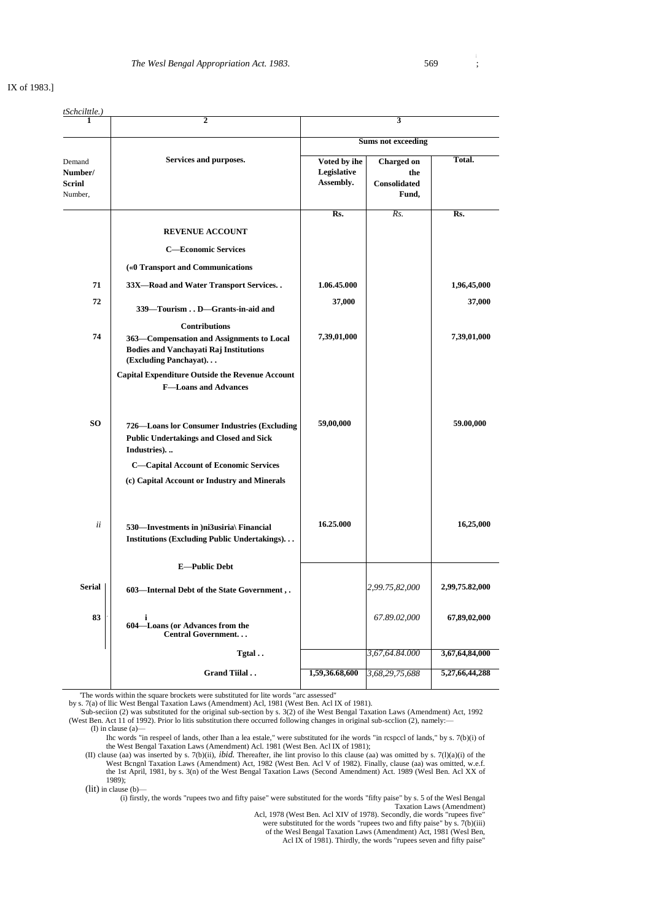**i**

## IX of 1983.]

| <u>tSchcilttle.)</u>                          |                                                                                                                     |                                          |                                                   |                |
|-----------------------------------------------|---------------------------------------------------------------------------------------------------------------------|------------------------------------------|---------------------------------------------------|----------------|
|                                               | 2                                                                                                                   | 3<br><b>Sums not exceeding</b>           |                                                   |                |
|                                               | Services and purposes.                                                                                              |                                          |                                                   |                |
| Demand<br>Number/<br><b>Scrinl</b><br>Number, |                                                                                                                     | Voted by ihe<br>Legislative<br>Assembly. | <b>Charged</b> on<br>the<br>Consolidated<br>Fund, | Total.         |
|                                               |                                                                                                                     | Rs.                                      | Rs.                                               | Rs.            |
|                                               | <b>REVENUE ACCOUNT</b>                                                                                              |                                          |                                                   |                |
|                                               | <b>C-Economic Services</b>                                                                                          |                                          |                                                   |                |
|                                               | («0 Transport and Communications                                                                                    |                                          |                                                   |                |
| 71                                            | 33X-Road and Water Transport Services                                                                               | 1.06.45.000                              |                                                   | 1,96,45,000    |
| 72                                            | 339—Tourism D—Grants-in-aid and                                                                                     | 37,000                                   |                                                   | 37,000         |
|                                               | <b>Contributions</b>                                                                                                |                                          |                                                   |                |
| 74                                            | 363—Compensation and Assignments to Local<br><b>Bodies and Vanchayati Raj Institutions</b><br>(Excluding Panchayat) | 7,39,01,000                              |                                                   | 7,39,01,000    |
|                                               | <b>Capital Expenditure Outside the Revenue Account</b><br><b>F-Loans and Advances</b>                               |                                          |                                                   |                |
| SO.                                           | 726-Loans lor Consumer Industries (Excluding<br><b>Public Undertakings and Closed and Sick</b><br>Industries).      | 59,00,000                                |                                                   | 59.00,000      |
|                                               | <b>C-Capital Account of Economic Services</b>                                                                       |                                          |                                                   |                |
|                                               | (c) Capital Account or Industry and Minerals                                                                        |                                          |                                                   |                |
| ii                                            | 530—Investments in )ni3usiria\ Financial<br><b>Institutions (Excluding Public Undertakings)</b>                     | 16.25.000                                |                                                   | 16,25,000      |
|                                               | <b>E-Public Debt</b>                                                                                                |                                          |                                                   |                |
| <b>Serial</b>                                 | 603—Internal Debt of the State Government,.                                                                         |                                          | 2,99.75,82,000                                    | 2,99,75.82,000 |
| 83                                            | i<br>604-Loans (or Advances from the<br>Central Government                                                          |                                          | 67.89.02,000                                      | 67,89,02,000   |
|                                               | Tgtal                                                                                                               |                                          | 3,67,64.84.000                                    | 3,67,64,84,000 |
|                                               | Grand Tiilal                                                                                                        | 1,59,36.68,600                           | 3,68,29,75,688                                    | 5,27,66,44,288 |
|                                               |                                                                                                                     |                                          |                                                   |                |

'The words within the square brockets were substituted for lite words "arc assessed"

by s. 7(a) of llic West Bengal Taxation Laws (Amendment) Acl, 1981 (West Ben. Acl IX of 1981).

Sub-section (2) was substituted for the original sub-section by s. 3(2) of ihe West Bengal Taxation Laws (Amendment) Act, 1992<br>(West Ben. Act 11 of 1992). Prior lo litis substitution there occurred following changes in ori

Ihc words "in respeel of lands, other Ihan a lea estale," were substituted for ihe words "in rcspccl of lands," by s. 7(b)(i) of the West Bengal Taxation Laws (Amendment) Acl. 1981 (West Ben. Acl IX of 1981);

(II) clause (aa) was inserted by s. 7(b)(ii), *ibid*. Thereafter, ihe lint proviso lo this clause (aa) was omitted by s. 7(l)(a)(i) of the West Bengnl Taxation Laws (Amendment) Act, 1982 (West Ben. Acl V of 1982). Finally, 1989);

(lit) in clause (b)—

(i) firstly, the words "rupees two and fifty paise" were substituted for the words "fifty paise" by s. 5 of the Wesl Bengal Taxation Laws (Amendment)

Acl, 1978 (West Ben. Acl XIV of 1978). Secondly, die words "rupees five"

were substituted for the words "rupees two and fifty paise" by s. 7(b)(iii) of the Wesl Bengal Taxation Laws (Amendment) Act, 1981 (Wesl Ben, Acl IX of 1981). Thirdly, the words "rupees seven and fifty paise"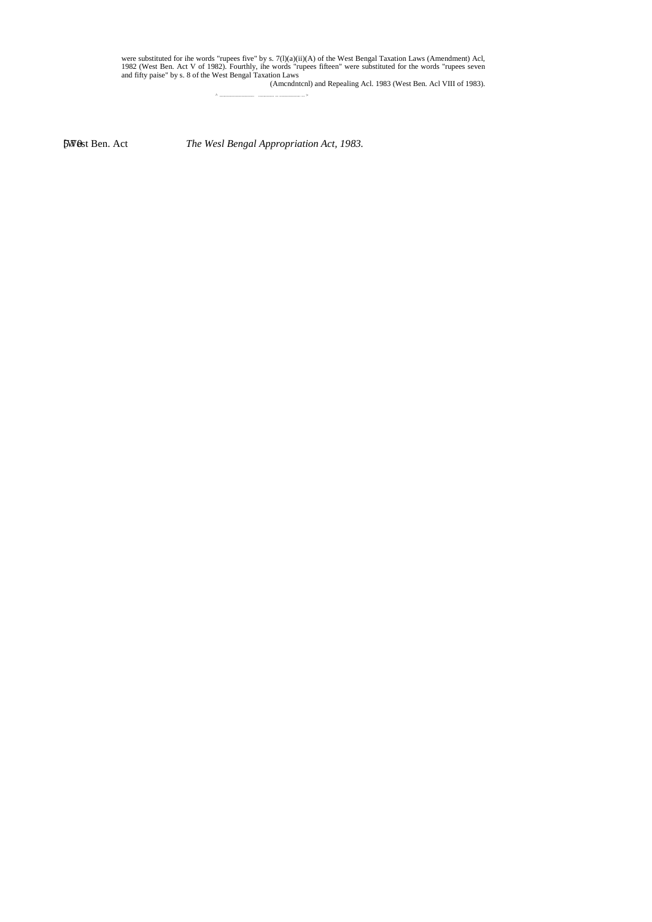were substituted for ihe words "rupees five" by s. 7(1)(a)(ii)(A) of the West Bengal Taxation Laws (Amendment) Acl,<br>1982 (West Ben. Act V of 1982). Fourthly, ihe words "rupees fifteen" were substituted for the words "rupee

[West Ben. Act 570 *The Wesl Bengal Appropriation Act, 1983.*

^ ................................. ............... ... .................... ... >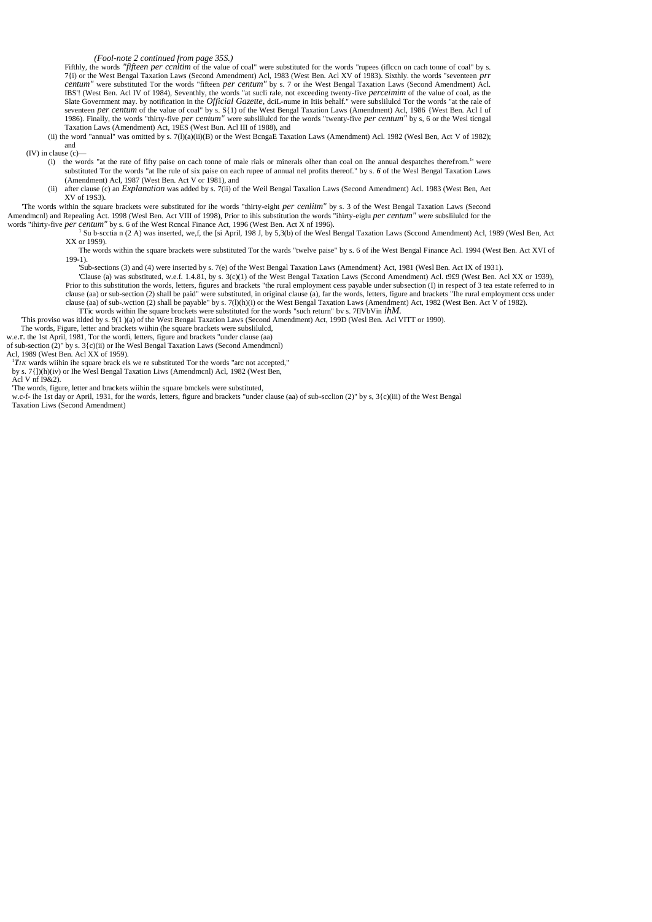*(Fool-note 2 continued from page 35S.)*

Fifthly, the words "fifteen per ccnltim of the value of coal" were substituted for the words "rupees (iflccn on cach tonne of coal" by s. 7{i) or the West Bengal Taxation Laws (Second Amendment) Acl, 1983 (West Ben. Acl XV of 1983). Sixthly, the words "seventeen *prr* centum" were substituted Tor the words "fifteen *per centum*" by s. 7 or ihe West Bengal Ta Slate Government may. by notification in the *Official Gazette,* dciL-nume in Itiis behalf." were subslilulcd Tor the words "at the rale of seventeen *per centum* of the value of coal" by s. S{1) of the West Bengal Taxation Laws (Amendment) Acl, 1986 {West Ben. Acl I uf 1986). Finally, the words "thirty-five *per centum"* were subslilulcd for the words "twenty-five *per centum"* by s, 6 or the Wesl ticngal Taxation Laws (Amendment) Act, 19ES (West Bun. Acl III of 1988), and

(ii) the word "annual" was omitted by s. 7(l)(a)(ii)(B) or the West BcngaE Taxation Laws (Amendment) Acl. 1982 (Wesl Ben, Act V of 1982); and

 $(IV)$  in clause  $(c)$ 

- (i) the words "at the rate of fifty paise on cach tonne of male rials or minerals olher than coal on Ihe annual despatches therefrom.<sup>1</sup>' were substituted Tor the words "at Ihe rule of six paise on each rupee of annual nel profits thereof." by s. *6* of the Wesl Bengal Taxation Laws (Amendment) Acl, 1987 (West Ben. Act V or 1981), and
- (ii) after clause (c) an *Explanation* was added by s. 7(ii) of the Weil Bengal Taxalion Laws (Second Amendment) Acl. 1983 (West Ben, Aet XV of 19S3).

'The words within the square brackets were substituted for ihe words "thirty-eight *per cenlitm"* by s. 3 of the West Bengal Taxation Laws (Second Amendmcnl) and Repealing Act. 1998 (Wesl Ben. Act VIII of 1998), Prior to ihis substitution the words "ihirty-eiglu *per centum"* were subslilulcd for the words "ihirty-five *per centum"* by s. 6 of ihe West Rcncal Finance Act, 1996 (West Ben. Act X nf 1996).

<sup>1</sup> Su b-scctia n (2 A) was inserted, we,f, the [si April, 198 J, by 5,3(b) of the Wesl Bengal Taxation Laws (Sccond Amendment) Acl, 1989 (Wesl Ben, Act XX or 19S9).

The words within the square brackets were substituted Tor the wards "twelve paise" by s. 6 of ihe West Bengal Finance Acl. 1994 (West Ben. Act XVI of  $199-1$ ).

'Sub-sections (3) and (4) were inserted by s. 7(e) of the West Bengal Taxation Laws (Amendment} Act, 1981 (Wesl Ben. Act IX of 1931).

- 'Clause (a) was substituted, w.e.f. 1.4.81, by s. 3(c)(1) of the West Bengal Taxation Laws (Sccond Amendment) Acl. t9£9 (West Ben. Acl XX or 1939), Prior to this substitution the words, letters, figures and brackets "the rural employment cess payable under subsection (I) in respect of 3 tea estate referred to in clause (aa) or sub-section (2) shall be paid" were substituted, in original clause (a), far the words, letters, figure and brackets "Ihe rural employment ccss under clause (aa) of sub-wction (2) shall be payable" by s. 7(1)(h)(i) or the West Bengal Taxation Laws (Amendment) Act, 1982 (West Ben. Act V of 1982).<br>TTic words within Ihe square brockets were substituted for the words "such
- 'This proviso was itlded by s. 9(1 )(a) of the West Bengal Taxation Laws (Second Amendment) Act, 199D (Wesl Ben. Acl VITT or 1990).

The words, Figure, letter and brackets wiihin (he square brackets were subslilulcd,

w.e.r. the 1st April, 1981, Tor the wordi, letters, figure and brackets "under clause (aa)

of sub-section (2)" by s. 3{c)(ii) or Ihe Wesl Bengal Taxation Laws (Second Amendmcnl)

Acl, 1989 (West Ben. Acl XX of 1959).

 $1T/K$  wards wiihin ihe square brack els we re substituted Tor the words "arc not accepted,"

by s. 7{])(h)(iv) or Ihe Wesl Bengal Taxation Liws (Amendmcnl) Acl, 1982 (West Ben,

Acl V nf I9&2).

'The words, figure, letter and brackets wiihin the square bmckels were substituted,

w.c-f- ihe 1st day or April, 1931, for ihe words, letters, figure and brackets "under clause (aa) of sub-scclion (2)" by s, 3{c)(iii) of the West Bengal Taxation Liws (Second Amendment)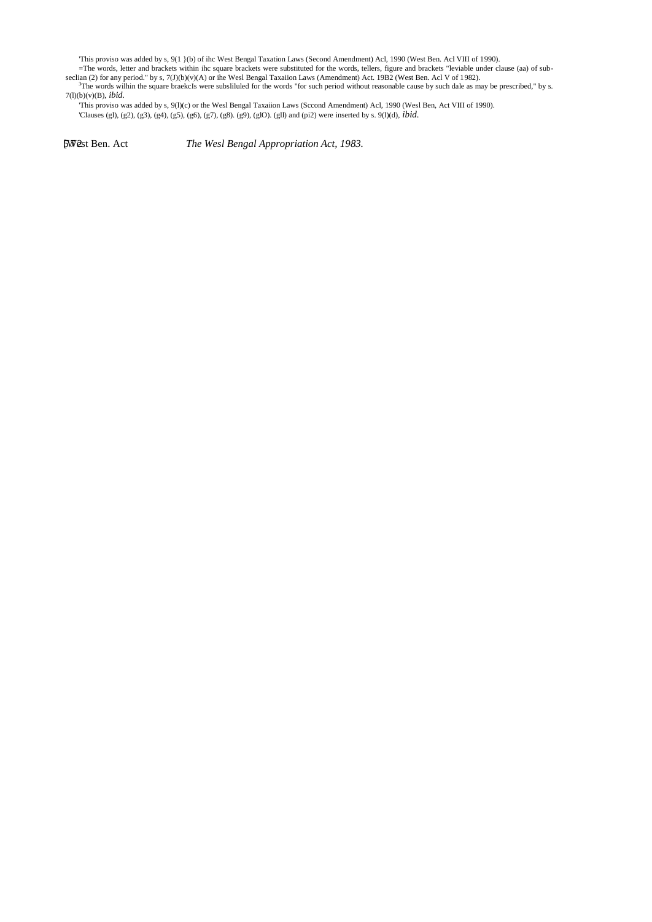'This proviso was added by s, 9(1 }(b) of ihc West Bengal Taxation Laws (Second Amendment) Acl, 1990 (West Ben. Acl VIII of 1990).

=The words, letter and brackets within ihc square brackets were substituted for the words, tellers, figure and brackets "leviable under clause (aa) of subseclian (2) for any period." by s, 7(J)(b)(v)(A) or ihe Wesl Bengal Taxaiion Laws (Amendment) Act. 19B2 (West Ben. Acl V of 1982).

<sup>3</sup>The words wilhin the square braekcIs were subsliluled for the words "for such period without reasonable cause by such dale as may be prescribed," by s. 7(l)(b)(v)(B), *ibid.*

'This proviso was added by s, 9(l)(c) or the Wesl Bengal Taxaiion Laws (Sccond Amendment) Acl, 1990 (Wesl Ben, Act VIII of 1990). 'Clauses (gl), (g2), (g3), (g4), (g5), (g6), (g7), (g8). (g9), (glO). (gll) and (pi2) were inserted by s. 9(l)(d), *ibid.*

[West Ben. Act 572 *The Wesl Bengal Appropriation Act, 1983.*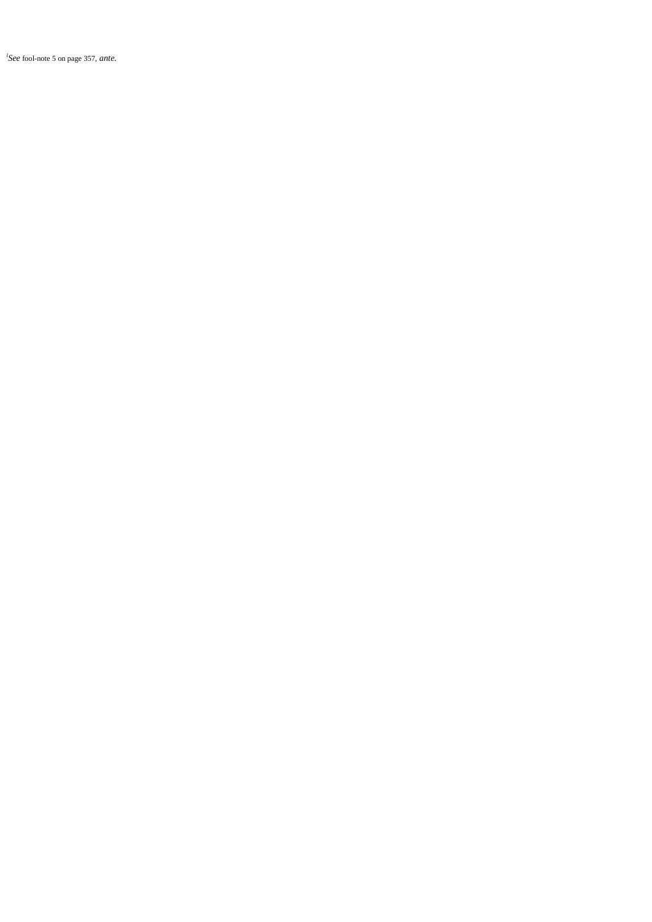${}^{l}$ See fool-note 5 on page 357, ante.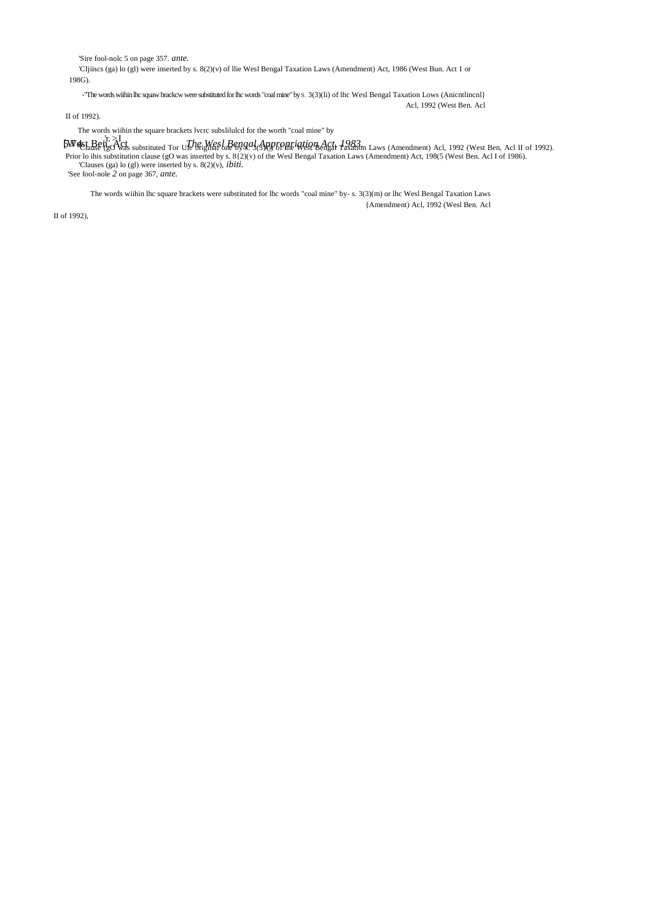'Sire fool-nolc 5 on page 357. *ante.*

'CIjiiscs (ga) lo (gl) were inserted by s. 8(2)(v) of llie Wesl Bengal Taxation Laws (Amendment) Act, 1986 (West Bun. Act 1 or 198G).

-"The words wiihin lhc squaw brackcw were substituted for lhc words "coal mine" by S. 3(3)(li) of lhc Wesl Bengal Taxation Lows (Anicntlincnl} Acl, 1992 (West Ben. Acl

II of 1992).

The words wiihin the square brackets lvcrc subslilulcd for the worth "coal mine" by

 $\begin{bmatrix} \mathbf{F} & \mathbf{F} \\ \mathbf{F} & \mathbf{F} \\ \mathbf{F} & \mathbf{F} \end{bmatrix}$   $\mathbf{F}^{11}_{\mathbf{B}} \mathbf{F}^{12}_{\mathbf{C}} \mathbf{F}^{13}_{\mathbf{C}} \mathbf{F}^{14}_{\mathbf{C}} \mathbf{F}^{14}_{\mathbf{C}} \mathbf{F}^{15}_{\mathbf{C}} \mathbf{F}^{16}_{\mathbf{C}} \mathbf{F}^{16}_{\mathbf{C}} \mathbf{F}^{17}_{\mathbf{C}} \mathbf{F}^{18}_{\mathbf{C}} \mathbf{$ 'See fool-nole *2* on page 367, *ante.*

The words wiihin lhc square brackets were substituted for lhc words "coal mine" by- s. 3(3)(m) or lhc Wesl Bengal Taxation Laws {Amendment) Acl, 1992 (Wesl Ben. Acl

II of 1992),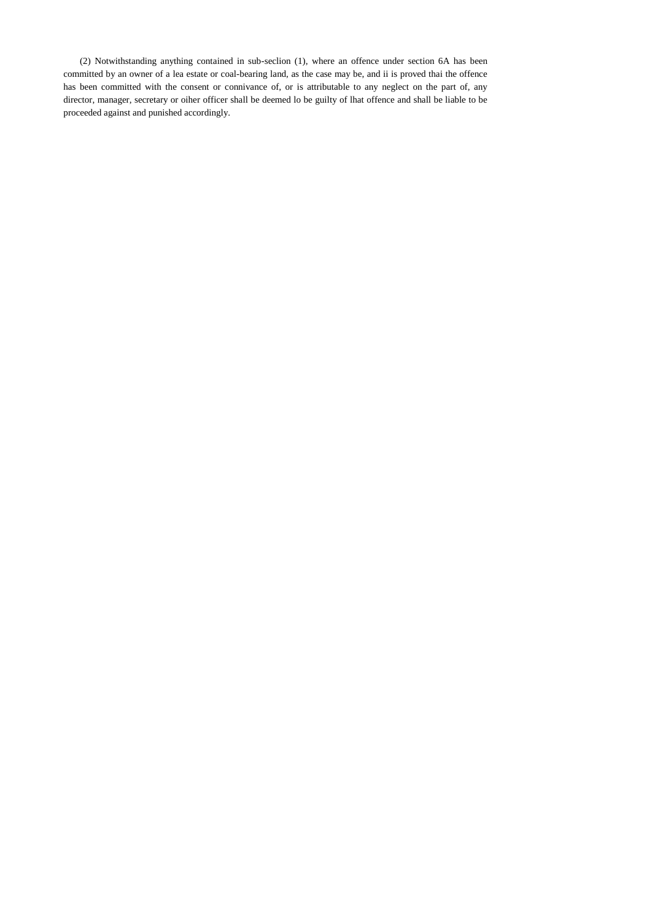(2) Notwithstanding anything contained in sub-seclion (1), where an offence under section 6A has been committed by an owner of a lea estate or coal-bearing land, as the case may be, and ii is proved thai the offence has been committed with the consent or connivance of, or is attributable to any neglect on the part of, any director, manager, secretary or oiher officer shall be deemed lo be guilty of lhat offence and shall be liable to be proceeded against and punished accordingly.